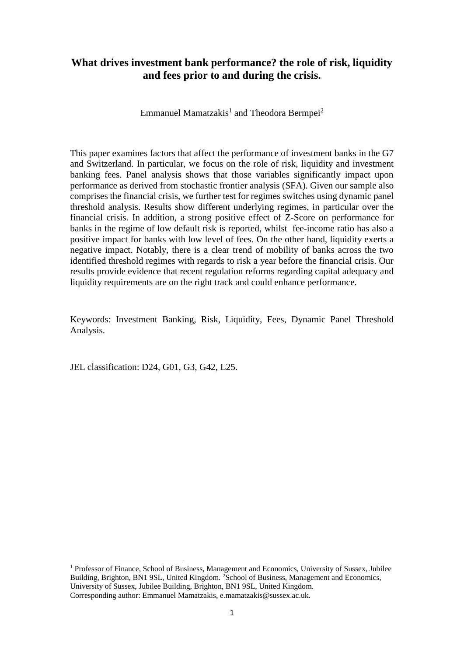## **What drives investment bank performance? the role of risk, liquidity and fees prior to and during the crisis.**

Emmanuel Mamatzakis<sup>1</sup> and Theodora Bermpei<sup>2</sup>

This paper examines factors that affect the performance of investment banks in the G7 and Switzerland. In particular, we focus on the role of risk, liquidity and investment banking fees. Panel analysis shows that those variables significantly impact upon performance as derived from stochastic frontier analysis (SFA). Given our sample also comprises the financial crisis, we further test for regimes switches using dynamic panel threshold analysis. Results show different underlying regimes, in particular over the financial crisis. In addition, a strong positive effect of Z-Score on performance for banks in the regime of low default risk is reported, whilst fee-income ratio has also a positive impact for banks with low level of fees. On the other hand, liquidity exerts a negative impact. Notably, there is a clear trend of mobility of banks across the two identified threshold regimes with regards to risk a year before the financial crisis. Our results provide evidence that recent regulation reforms regarding capital adequacy and liquidity requirements are on the right track and could enhance performance.

Keywords: Investment Banking, Risk, Liquidity, Fees, Dynamic Panel Threshold Analysis.

JEL classification: D24, G01, G3, G42, L25.

**.** 

 $1$  Professor of Finance, School of Business, Management and Economics, University of Sussex, Jubilee Building, Brighton, BN1 9SL, United Kingdom. <sup>2</sup>School of Business, Management and Economics, University of Sussex, Jubilee Building, Brighton, BN1 9SL, United Kingdom. Corresponding author: Emmanuel Mamatzakis, e.mamatzakis@sussex.ac.uk.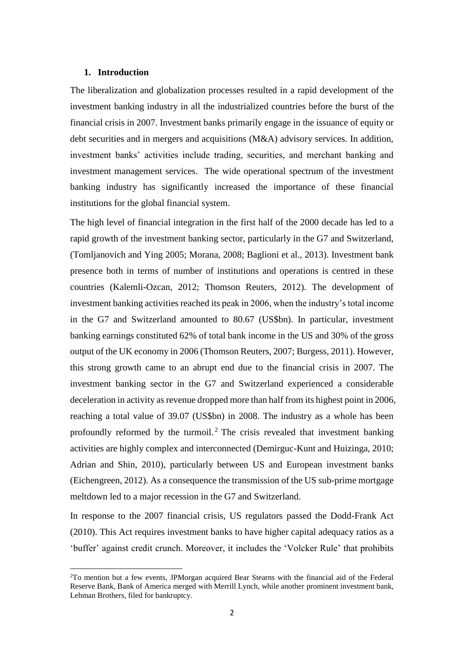#### **1. Introduction**

1

The liberalization and globalization processes resulted in a rapid development of the investment banking industry in all the industrialized countries before the burst of the financial crisis in 2007. Investment banks primarily engage in the issuance of equity or debt securities and in mergers and acquisitions (M&A) advisory services. In addition, investment banks' activities include trading, securities, and merchant banking and investment management services. The wide operational spectrum of the investment banking industry has significantly increased the importance of these financial institutions for the global financial system.

The high level of financial integration in the first half of the 2000 decade has led to a rapid growth of the investment banking sector, particularly in the G7 and Switzerland, (Tomljanovich and Ying 2005; Morana, 2008; Baglioni et al., 2013). Investment bank presence both in terms of number of institutions and operations is centred in these countries (Kalemli-Ozcan, 2012; Thomson Reuters, 2012). The development of investment banking activities reached its peak in 2006, when the industry's total income in the G7 and Switzerland amounted to 80.67 (US\$bn). In particular, investment banking earnings constituted 62% of total bank income in the US and 30% of the gross output of the UK economy in 2006 (Thomson Reuters, 2007; Burgess, 2011). However, this strong growth came to an abrupt end due to the financial crisis in 2007. The investment banking sector in the G7 and Switzerland experienced a considerable deceleration in activity as revenue dropped more than half from its highest point in 2006, reaching a total value of 39.07 (US\$bn) in 2008. The industry as a whole has been profoundly reformed by the turmoil.<sup>2</sup> The crisis revealed that investment banking activities are highly complex and interconnected (Demirguc-Kunt and Huizinga, 2010; Adrian and Shin, 2010), particularly between US and European investment banks (Eichengreen, 2012). As a consequence the transmission of the US sub-prime mortgage meltdown led to a major recession in the G7 and Switzerland.

In response to the 2007 financial crisis, US regulators passed the Dodd-Frank Act (2010). This Act requires investment banks to have higher capital adequacy ratios as a 'buffer' against credit crunch. Moreover, it includes the 'Volcker Rule' that prohibits

<sup>2</sup>To mention but a few events, JPMorgan acquired Bear Stearns with the financial aid of the Federal Reserve Bank, Bank of America merged with Merrill Lynch, while another prominent investment bank, Lehman Brothers, filed for bankruptcy.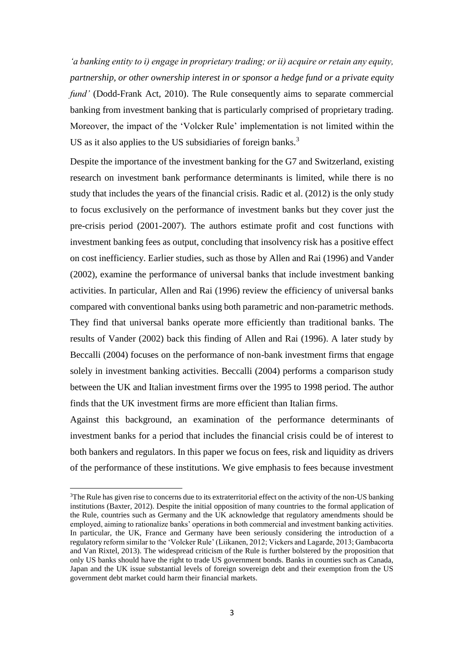*'a banking entity to i) engage in proprietary trading; or ii) acquire or retain any equity, partnership, or other ownership interest in or sponsor a hedge fund or a private equity fund'* (Dodd-Frank Act, 2010). The Rule consequently aims to separate commercial banking from investment banking that is particularly comprised of proprietary trading. Moreover, the impact of the 'Volcker Rule' implementation is not limited within the US as it also applies to the US subsidiaries of foreign banks.<sup>3</sup>

Despite the importance of the investment banking for the G7 and Switzerland, existing research on investment bank performance determinants is limited, while there is no study that includes the years of the financial crisis. Radic et al. (2012) is the only study to focus exclusively on the performance of investment banks but they cover just the pre-crisis period (2001-2007). The authors estimate profit and cost functions with investment banking fees as output, concluding that insolvency risk has a positive effect on cost inefficiency. Earlier studies, such as those by Allen and Rai (1996) and Vander (2002), examine the performance of universal banks that include investment banking activities. In particular, Allen and Rai (1996) review the efficiency of universal banks compared with conventional banks using both parametric and non-parametric methods. They find that universal banks operate more efficiently than traditional banks. The results of Vander (2002) back this finding of Allen and Rai (1996). A later study by Beccalli (2004) focuses on the performance of non-bank investment firms that engage solely in investment banking activities. Beccalli (2004) performs a comparison study between the UK and Italian investment firms over the 1995 to 1998 period. The author finds that the UK investment firms are more efficient than Italian firms.

Against this background, an examination of the performance determinants of investment banks for a period that includes the financial crisis could be of interest to both bankers and regulators. In this paper we focus on fees, risk and liquidity as drivers of the performance of these institutions. We give emphasis to fees because investment

1

<sup>&</sup>lt;sup>3</sup>The Rule has given rise to concerns due to its extraterritorial effect on the activity of the non-US banking institutions (Baxter, 2012). Despite the initial opposition of many countries to the formal application of the Rule, countries such as Germany and the UK acknowledge that regulatory amendments should be employed, aiming to rationalize banks' operations in both commercial and investment banking activities. In particular, the UK, France and Germany have been seriously considering the introduction of a regulatory reform similar to the 'Volcker Rule' (Liikanen, 2012; Vickers and Lagarde, 2013; Gambacorta and Van Rixtel, 2013). The widespread criticism of the Rule is further bolstered by the proposition that only US banks should have the right to trade US government bonds. Banks in counties such as Canada, Japan and the UK issue substantial levels of foreign sovereign debt and their exemption from the US government debt market could harm their financial markets.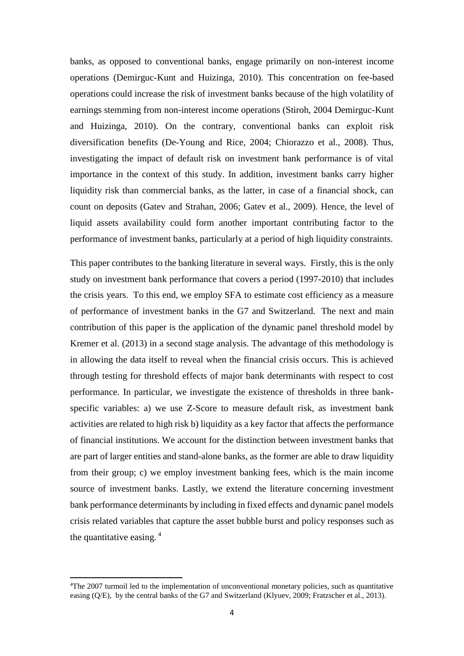banks, as opposed to conventional banks, engage primarily on non-interest income operations (Demirguc-Kunt and Huizinga, 2010). This concentration on fee-based operations could increase the risk of investment banks because of the high volatility of earnings stemming from non-interest income operations (Stiroh, 2004 Demirguc-Kunt and Huizinga, 2010). On the contrary, conventional banks can exploit risk diversification benefits (De-Young and Rice, 2004; Chiorazzo et al., 2008). Thus, investigating the impact of default risk on investment bank performance is of vital importance in the context of this study. In addition, investment banks carry higher liquidity risk than commercial banks, as the latter, in case of a financial shock, can count on deposits (Gatev and Strahan, 2006; Gatev et al., 2009). Hence, the level of liquid assets availability could form another important contributing factor to the performance of investment banks, particularly at a period of high liquidity constraints.

This paper contributes to the banking literature in several ways. Firstly, this is the only study on investment bank performance that covers a period (1997-2010) that includes the crisis years. To this end, we employ SFA to estimate cost efficiency as a measure of performance of investment banks in the G7 and Switzerland. The next and main contribution of this paper is the application of the dynamic panel threshold model by Kremer et al. (2013) in a second stage analysis. The advantage of this methodology is in allowing the data itself to reveal when the financial crisis occurs. This is achieved through testing for threshold effects of major bank determinants with respect to cost performance. In particular, we investigate the existence of thresholds in three bankspecific variables: a) we use Z-Score to measure default risk, as investment bank activities are related to high risk b) liquidity as a key factor that affects the performance of financial institutions. We account for the distinction between investment banks that are part of larger entities and stand-alone banks, as the former are able to draw liquidity from their group; c) we employ investment banking fees, which is the main income source of investment banks. Lastly, we extend the literature concerning investment bank performance determinants by including in fixed effects and dynamic panel models crisis related variables that capture the asset bubble burst and policy responses such as the quantitative easing. 4

**<sup>.</sup>** <sup>4</sup>The 2007 turmoil led to the implementation of unconventional monetary policies, such as quantitative easing (Q/E), by the central banks of the G7 and Switzerland (Klyuev, 2009; Fratzscher et al., 2013).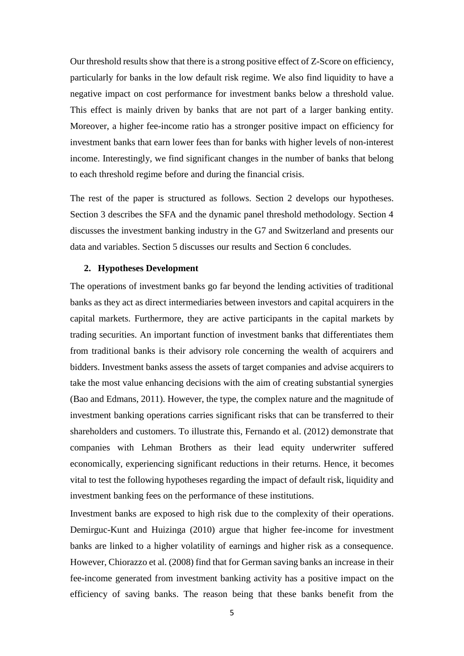Our threshold results show that there is a strong positive effect of Z-Score on efficiency, particularly for banks in the low default risk regime. We also find liquidity to have a negative impact on cost performance for investment banks below a threshold value. This effect is mainly driven by banks that are not part of a larger banking entity. Moreover, a higher fee-income ratio has a stronger positive impact on efficiency for investment banks that earn lower fees than for banks with higher levels of non-interest income. Interestingly, we find significant changes in the number of banks that belong to each threshold regime before and during the financial crisis.

The rest of the paper is structured as follows. Section 2 develops our hypotheses. Section 3 describes the SFA and the dynamic panel threshold methodology. Section 4 discusses the investment banking industry in the G7 and Switzerland and presents our data and variables. Section 5 discusses our results and Section 6 concludes.

#### **2. Hypotheses Development**

The operations of investment banks go far beyond the lending activities of traditional banks as they act as direct intermediaries between investors and capital acquirers in the capital markets. Furthermore, they are active participants in the capital markets by trading securities. An important function of investment banks that differentiates them from traditional banks is their advisory role concerning the wealth of acquirers and bidders. Investment banks assess the assets of target companies and advise acquirers to take the most value enhancing decisions with the aim of creating substantial synergies (Bao and Edmans, 2011). However, the type, the complex nature and the magnitude of investment banking operations carries significant risks that can be transferred to their shareholders and customers. To illustrate this, Fernando et al. (2012) demonstrate that companies with Lehman Brothers as their lead equity underwriter suffered economically, experiencing significant reductions in their returns. Hence, it becomes vital to test the following hypotheses regarding the impact of default risk, liquidity and investment banking fees on the performance of these institutions.

Investment banks are exposed to high risk due to the complexity of their operations. Demirguc-Kunt and Huizinga (2010) argue that higher fee-income for investment banks are linked to a higher volatility of earnings and higher risk as a consequence. However, Chiorazzo et al. (2008) find that for German saving banks an increase in their fee-income generated from investment banking activity has a positive impact on the efficiency of saving banks. The reason being that these banks benefit from the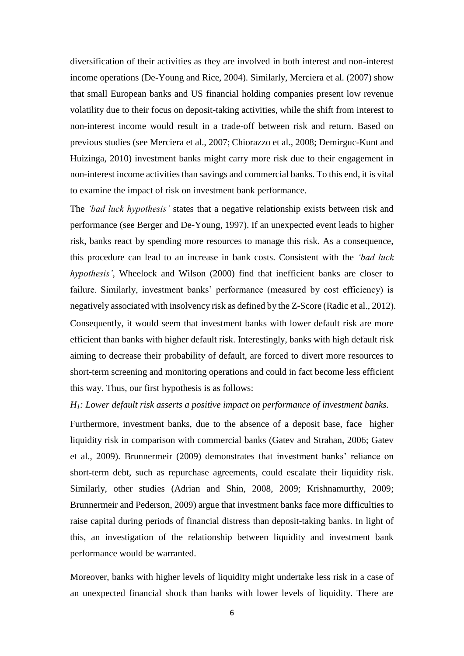diversification of their activities as they are involved in both interest and non-interest income operations (De-Young and Rice, 2004). Similarly, Merciera et al. (2007) show that small European banks and US financial holding companies present low revenue volatility due to their focus on deposit-taking activities, while the shift from interest to non-interest income would result in a trade-off between risk and return. Based on previous studies (see Merciera et al., 2007; Chiorazzo et al., 2008; Demirguc-Kunt and Huizinga, 2010) investment banks might carry more risk due to their engagement in non-interest income activities than savings and commercial banks. To this end, it is vital to examine the impact of risk on investment bank performance.

The *'bad luck hypothesis'* states that a negative relationship exists between risk and performance (see Berger and De-Young, 1997). If an unexpected event leads to higher risk, banks react by spending more resources to manage this risk. As a consequence, this procedure can lead to an increase in bank costs. Consistent with the *'bad luck hypothesis'*, Wheelock and Wilson (2000) find that inefficient banks are closer to failure. Similarly, investment banks' performance (measured by cost efficiency) is negatively associated with insolvency risk as defined by the Z-Score (Radic et al., 2012). Consequently, it would seem that investment banks with lower default risk are more efficient than banks with higher default risk. Interestingly, banks with high default risk aiming to decrease their probability of default, are forced to divert more resources to short-term screening and monitoring operations and could in fact become less efficient this way. Thus, our first hypothesis is as follows:

### *H1: Lower default risk asserts a positive impact on performance of investment banks.*

Furthermore, investment banks, due to the absence of a deposit base, face higher liquidity risk in comparison with commercial banks (Gatev and Strahan, 2006; Gatev et al., 2009). Brunnermeir (2009) demonstrates that investment banks' reliance on short-term debt, such as repurchase agreements, could escalate their liquidity risk. Similarly, other studies (Adrian and Shin, 2008, 2009; Krishnamurthy, 2009; Brunnermeir and Pederson, 2009) argue that investment banks face more difficulties to raise capital during periods of financial distress than deposit-taking banks. In light of this, an investigation of the relationship between liquidity and investment bank performance would be warranted.

Moreover, banks with higher levels of liquidity might undertake less risk in a case of an unexpected financial shock than banks with lower levels of liquidity. There are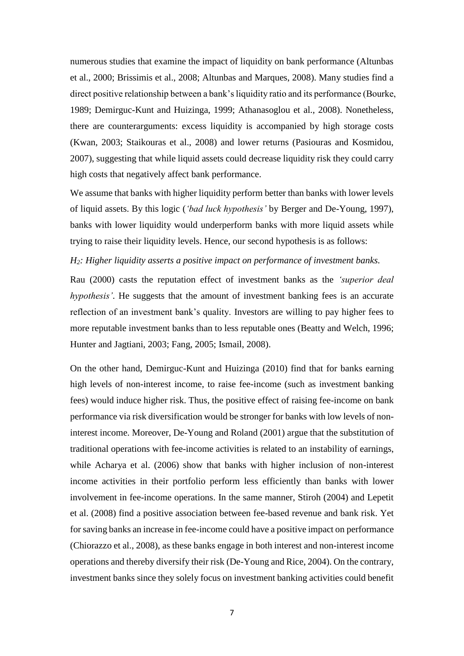numerous studies that examine the impact of liquidity on bank performance (Altunbas et al., 2000; Brissimis et al., 2008; Altunbas and Marques, 2008). Many studies find a direct positive relationship between a bank's liquidity ratio and its performance (Bourke, 1989; Demirguc-Kunt and Huizinga, 1999; Athanasoglou et al., 2008). Nonetheless, there are counterarguments: excess liquidity is accompanied by high storage costs (Kwan, 2003; Staikouras et al., 2008) and lower returns (Pasiouras and Kosmidou, 2007), suggesting that while liquid assets could decrease liquidity risk they could carry high costs that negatively affect bank performance.

We assume that banks with higher liquidity perform better than banks with lower levels of liquid assets. By this logic (*'bad luck hypothesis'* by Berger and De-Young, 1997), banks with lower liquidity would underperform banks with more liquid assets while trying to raise their liquidity levels. Hence, our second hypothesis is as follows:

### *H2: Higher liquidity asserts a positive impact on performance of investment banks.*

Rau (2000) casts the reputation effect of investment banks as the *'superior deal hypothesis'*. He suggests that the amount of investment banking fees is an accurate reflection of an investment bank's quality. Investors are willing to pay higher fees to more reputable investment banks than to less reputable ones (Beatty and Welch, 1996; Hunter and Jagtiani, 2003; Fang, 2005; Ismail, 2008).

On the other hand, Demirguc-Kunt and Huizinga (2010) find that for banks earning high levels of non-interest income, to raise fee-income (such as investment banking fees) would induce higher risk. Thus, the positive effect of raising fee-income on bank performance via risk diversification would be stronger for banks with low levels of noninterest income. Moreover, De-Young and Roland (2001) argue that the substitution of traditional operations with fee-income activities is related to an instability of earnings, while Acharya et al. (2006) show that banks with higher inclusion of non-interest income activities in their portfolio perform less efficiently than banks with lower involvement in fee-income operations. In the same manner, Stiroh (2004) and Lepetit et al. (2008) find a positive association between fee-based revenue and bank risk. Yet for saving banks an increase in fee-income could have a positive impact on performance (Chiorazzo et al., 2008), as these banks engage in both interest and non-interest income operations and thereby diversify their risk (De-Young and Rice, 2004). On the contrary, investment banks since they solely focus on investment banking activities could benefit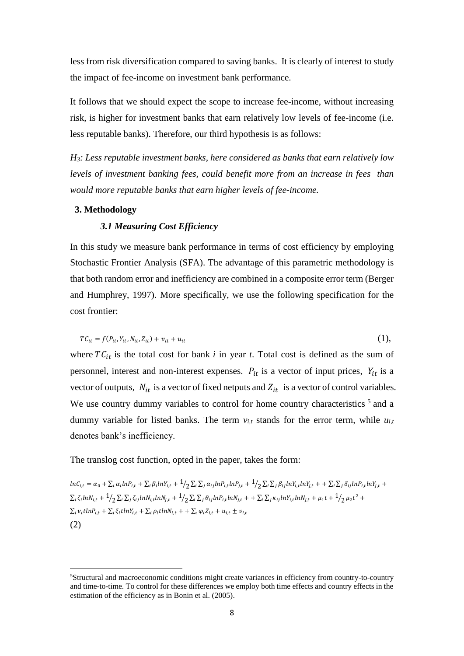less from risk diversification compared to saving banks. It is clearly of interest to study the impact of fee-income on investment bank performance.

It follows that we should expect the scope to increase fee-income, without increasing risk, is higher for investment banks that earn relatively low levels of fee-income (i.e. less reputable banks). Therefore, our third hypothesis is as follows:

*H3: Less reputable investment banks, here considered as banks that earn relatively low levels of investment banking fees, could benefit more from an increase in fees than would more reputable banks that earn higher levels of fee-income.*

#### **3. Methodology**

1

### *3.1 Measuring Cost Efficiency*

In this study we measure bank performance in terms of cost efficiency by employing Stochastic Frontier Analysis (SFA). The advantage of this parametric methodology is that both random error and inefficiency are combined in a composite error term (Berger and Humphrey, 1997). More specifically, we use the following specification for the cost frontier:

$$
TC_{it} = f(P_{it}, Y_{it}, N_{it}, Z_{it}) + v_{it} + u_{it}
$$
\n(1),

where  $TC_{it}$  is the total cost for bank *i* in year *t*. Total cost is defined as the sum of personnel, interest and non-interest expenses.  $P_{it}$  is a vector of input prices,  $Y_{it}$  is a vector of outputs,  $N_{it}$  is a vector of fixed netputs and  $Z_{it}$  is a vector of control variables. We use country dummy variables to control for home country characteristics  $5$  and a dummy variable for listed banks. The term  $v_{i,t}$  stands for the error term, while  $u_{i,t}$ denotes bank's inefficiency.

The translog cost function, opted in the paper, takes the form:

 $lnC_{i,t} = \alpha_0 + \sum_i \alpha_i lnP_{i,t} + \sum_i \beta_i lnY_{i,t} + \frac{1}{2} \sum_i \sum_j \alpha_{ij} lnP_{i,t} lnP_{j,t} + \frac{1}{2} \sum_i \sum_j \beta_{ij} lnY_{i,t} lnY_{j,t} + + \sum_i \sum_j \delta_{ij} lnP_{i,t} lnY_{j,t} +$  $\sum_i \zeta_i ln N_{i,t} + \frac{1}{2} \sum_i \sum_j \zeta_{ij} ln N_{i,t} ln N_{j,t} + \frac{1}{2} \sum_i \sum_j \theta_{ij} ln P_{i,t} ln N_{j,t} + \sum_i \sum_j \kappa_{ij} ln Y_{i,t} ln N_{j,t} + \mu_1 t + \frac{1}{2} \mu_2 t^2 +$  $\sum_i v_i t ln P_{i,t} + \sum_i \xi_i t ln Y_{i,t} + \sum_i \rho_i t ln N_{i,t} + + \sum_i \varphi_i Z_{i,t} + u_{i,t} \pm v_{i,t}$ (2)

<sup>5</sup>Structural and macroeconomic conditions might create variances in efficiency from country-to-country and time-to-time. To control for these differences we employ both time effects and country effects in the estimation of the efficiency as in Bonin et al. (2005).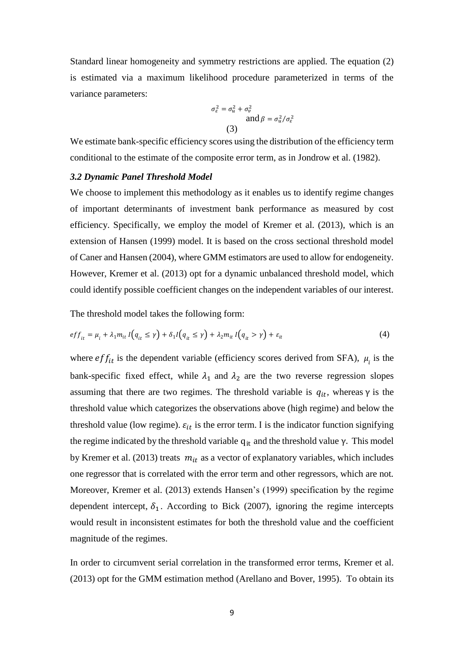Standard linear homogeneity and symmetry restrictions are applied. The equation (2) is estimated via a maximum likelihood procedure parameterized in terms of the variance parameters:

$$
\sigma_{\varepsilon}^{2} = \sigma_{u}^{2} + \sigma_{v}^{2}
$$
  
and 
$$
\beta = \sigma_{u}^{2} / \sigma_{\varepsilon}^{2}
$$
  
(3)

We estimate bank-specific efficiency scores using the distribution of the efficiency term conditional to the estimate of the composite error term, as in Jondrow et al. (1982).

#### *3.2 Dynamic Panel Threshold Model*

We choose to implement this methodology as it enables us to identify regime changes of important determinants of investment bank performance as measured by cost efficiency. Specifically, we employ the model of Kremer et al. (2013), which is an extension of Hansen (1999) model. It is based on the cross sectional threshold model of Caner and Hansen (2004), where GMM estimators are used to allow for endogeneity. However, Kremer et al. (2013) opt for a dynamic unbalanced threshold model, which could identify possible coefficient changes on the independent variables of our interest.

The threshold model takes the following form:

$$
eff_{it} = \mu_i + \lambda_1 m_{it} I \big( q_{it} \le \gamma \big) + \delta_1 I \big( q_{it} \le \gamma \big) + \lambda_2 m_{it} I \big( q_{it} > \gamma \big) + \varepsilon_{it} \tag{4}
$$

where  $eff_{it}$  is the dependent variable (efficiency scores derived from SFA),  $\mu_i$  is the bank-specific fixed effect, while  $\lambda_1$  and  $\lambda_2$  are the two reverse regression slopes assuming that there are two regimes. The threshold variable is  $q_{it}$ , whereas  $\gamma$  is the threshold value which categorizes the observations above (high regime) and below the threshold value (low regime).  $\varepsilon_{it}$  is the error term. I is the indicator function signifying the regime indicated by the threshold variable  $q_{it}$  and the threshold value  $\gamma$ . This model by Kremer et al. (2013) treats  $m_{it}$  as a vector of explanatory variables, which includes one regressor that is correlated with the error term and other regressors, which are not*.* Moreover, Kremer et al. (2013) extends Hansen's (1999) specification by the regime dependent intercept,  $\delta_1$ . According to Bick (2007), ignoring the regime intercepts would result in inconsistent estimates for both the threshold value and the coefficient magnitude of the regimes.

In order to circumvent serial correlation in the transformed error terms, Kremer et al. (2013) opt for the GMM estimation method (Arellano and Bover, 1995). To obtain its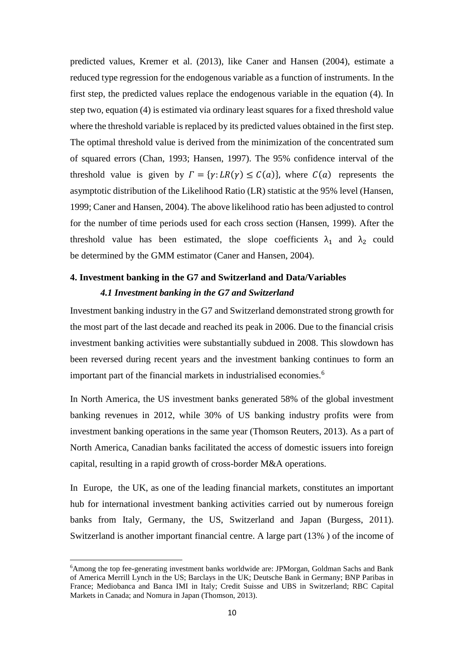predicted values, Kremer et al. (2013), like Caner and Hansen (2004), estimate a reduced type regression for the endogenous variable as a function of instruments. In the first step, the predicted values replace the endogenous variable in the equation (4). In step two, equation (4) is estimated via ordinary least squares for a fixed threshold value where the threshold variable is replaced by its predicted values obtained in the first step. The optimal threshold value is derived from the minimization of the concentrated sum of squared errors (Chan, 1993; Hansen, 1997). The 95% confidence interval of the threshold value is given by  $\Gamma = \{ \gamma : LR(\gamma) \le C(a) \}$ , where  $C(a)$  represents the asymptotic distribution of the Likelihood Ratio (LR) statistic at the 95% level (Hansen, 1999; Caner and Hansen, 2004). The above likelihood ratio has been adjusted to control for the number of time periods used for each cross section (Hansen, 1999). After the threshold value has been estimated, the slope coefficients  $\lambda_1$  and  $\lambda_2$  could be determined by the GMM estimator (Caner and Hansen, 2004).

# **4. Investment banking in the G7 and Switzerland and Data/Variables**  *4.1 Investment banking in the G7 and Switzerland*

Investment banking industry in the G7 and Switzerland demonstrated strong growth for the most part of the last decade and reached its peak in 2006. Due to the financial crisis investment banking activities were substantially subdued in 2008. This slowdown has been reversed during recent years and the investment banking continues to form an important part of the financial markets in industrialised economies.<sup>6</sup>

In North America, the US investment banks generated 58% of the global investment banking revenues in 2012, while 30% of US banking industry profits were from investment banking operations in the same year (Thomson Reuters, 2013). As a part of North America, Canadian banks facilitated the access of domestic issuers into foreign capital, resulting in a rapid growth of cross-border M&A operations.

In Europe, the UK, as one of the leading financial markets, constitutes an important hub for international investment banking activities carried out by numerous foreign banks from Italy, Germany, the US, Switzerland and Japan (Burgess, 2011). Switzerland is another important financial centre. A large part (13% ) of the income of

**.** 

<sup>6</sup>Among the top fee-generating investment banks worldwide are: JPMorgan, Goldman Sachs and Bank of America Merrill Lynch in the US; Barclays in the UK; Deutsche Bank in Germany; BNP Paribas in France; Mediobanca and Banca IMI in Italy; Credit Suisse and UBS in Switzerland; RBC Capital Markets in Canada; and Nomura in Japan (Thomson, 2013).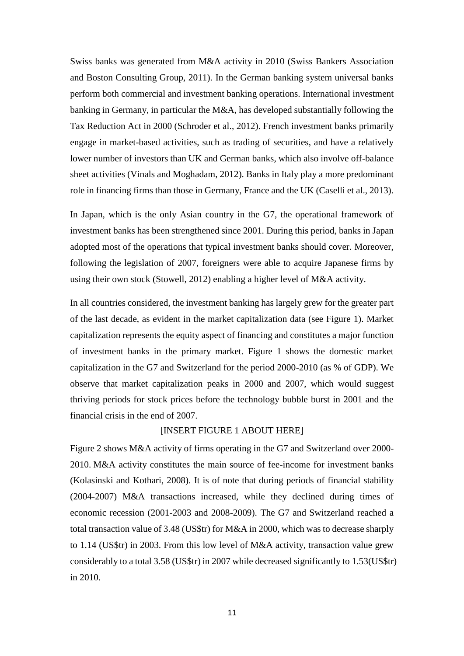Swiss banks was generated from M&A activity in 2010 (Swiss Bankers Association and Boston Consulting Group, 2011). In the German banking system universal banks perform both commercial and investment banking operations. International investment banking in Germany, in particular the M&A, has developed substantially following the Tax Reduction Act in 2000 (Schroder et al., 2012). French investment banks primarily engage in market-based activities, such as trading of securities, and have a relatively lower number of investors than UK and German banks, which also involve off-balance sheet activities (Vinals and Moghadam, 2012). Banks in Italy play a more predominant role in financing firms than those in Germany, France and the UK (Caselli et al., 2013).

In Japan, which is the only Asian country in the G7, the operational framework of investment banks has been strengthened since 2001. During this period, banks in Japan adopted most of the operations that typical investment banks should cover. Moreover, following the legislation of 2007, foreigners were able to acquire Japanese firms by using their own stock (Stowell, 2012) enabling a higher level of M&A activity.

In all countries considered, the investment banking has largely grew for the greater part of the last decade, as evident in the market capitalization data (see Figure 1). Market capitalization represents the equity aspect of financing and constitutes a major function of investment banks in the primary market. Figure 1 shows the domestic market capitalization in the G7 and Switzerland for the period 2000-2010 (as % of GDP). We observe that market capitalization peaks in 2000 and 2007, which would suggest thriving periods for stock prices before the technology bubble burst in 2001 and the financial crisis in the end of 2007.

### [INSERT FIGURE 1 ABOUT HERE]

Figure 2 shows M&A activity of firms operating in the G7 and Switzerland over 2000- 2010. M&A activity constitutes the main source of fee-income for investment banks (Kolasinski and Kothari, 2008). It is of note that during periods of financial stability (2004-2007) M&A transactions increased, while they declined during times of economic recession (2001-2003 and 2008-2009). The G7 and Switzerland reached a total transaction value of 3.48 (US\$tr) for M&A in 2000, which was to decrease sharply to 1.14 (US\$tr) in 2003. From this low level of M&A activity, transaction value grew considerably to a total 3.58 (US\$tr) in 2007 while decreased significantly to 1.53(US\$tr) in 2010.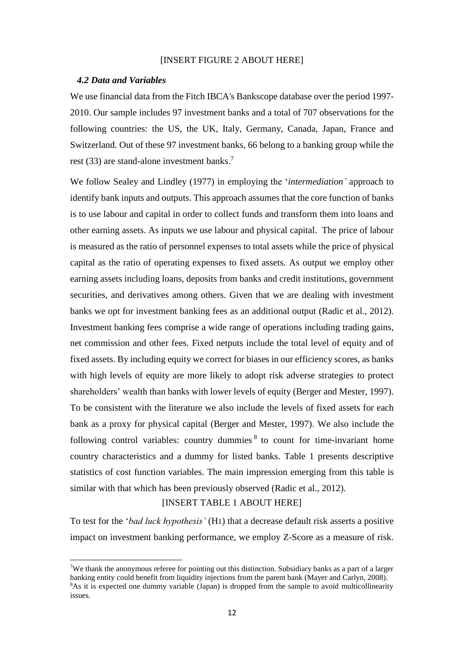### [INSERT FIGURE 2 ABOUT HERE]

#### *4.2 Data and Variables*

**.** 

We use financial data from the Fitch IBCA's Bankscope database over the period 1997- 2010. Our sample includes 97 investment banks and a total of 707 observations for the following countries: the US, the UK, Italy, Germany, Canada, Japan, France and Switzerland. Out of these 97 investment banks, 66 belong to a banking group while the rest (33) are stand-alone investment banks.<sup>7</sup>

We follow Sealey and Lindley (1977) in employing the '*intermediation'* approach to identify bank inputs and outputs. This approach assumes that the core function of banks is to use labour and capital in order to collect funds and transform them into loans and other earning assets. As inputs we use labour and physical capital. The price of labour is measured as the ratio of personnel expenses to total assets while the price of physical capital as the ratio of operating expenses to fixed assets. As output we employ other earning assets including loans, deposits from banks and credit institutions, government securities, and derivatives among others. Given that we are dealing with investment banks we opt for investment banking fees as an additional output (Radic et al., 2012). Investment banking fees comprise a wide range of operations including trading gains, net commission and other fees. Fixed netputs include the total level of equity and of fixed assets. By including equity we correct for biases in our efficiency scores, as banks with high levels of equity are more likely to adopt risk adverse strategies to protect shareholders' wealth than banks with lower levels of equity (Berger and Mester, 1997). To be consistent with the literature we also include the levels of fixed assets for each bank as a proxy for physical capital (Berger and Mester, 1997). We also include the following control variables: country dummies  $8$  to count for time-invariant home country characteristics and a dummy for listed banks. Table 1 presents descriptive statistics of cost function variables. The main impression emerging from this table is similar with that which has been previously observed (Radic et al., 2012).

### [INSERT TABLE 1 ABOUT HERE]

To test for the '*bad luck hypothesis'* (H1) that a decrease default risk asserts a positive impact on investment banking performance, we employ Z-Score as a measure of risk.

<sup>&</sup>lt;sup>7</sup>We thank the anonymous referee for pointing out this distinction. Subsidiary banks as a part of a larger banking entity could benefit from liquidity injections from the parent bank (Mayer and Carlyn, 2008). <sup>8</sup>As it is expected one dummy variable (Japan) is dropped from the sample to avoid multicollinearity issues.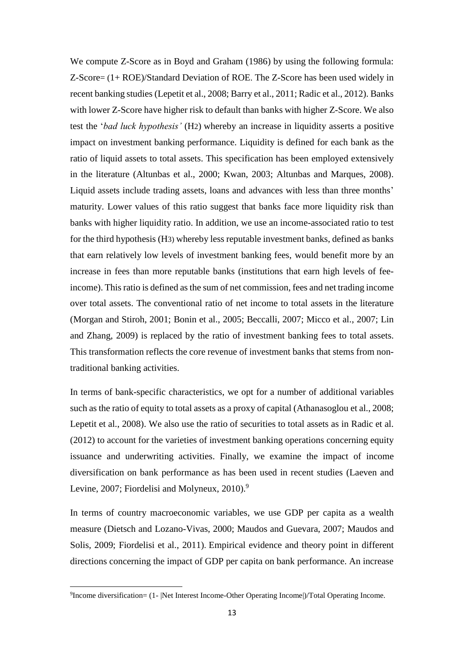We compute Z-Score as in Boyd and Graham (1986) by using the following formula: Z-Score= (1+ ROE)/Standard Deviation of ROE. The Z-Score has been used widely in recent banking studies (Lepetit et al., 2008; Barry et al., 2011; Radic et al., 2012). Banks with lower Z-Score have higher risk to default than banks with higher Z-Score. We also test the '*bad luck hypothesis'* (H2) whereby an increase in liquidity asserts a positive impact on investment banking performance. Liquidity is defined for each bank as the ratio of liquid assets to total assets. This specification has been employed extensively in the literature (Altunbas et al., 2000; Kwan, 2003; Altunbas and Marques, 2008). Liquid assets include trading assets, loans and advances with less than three months' maturity. Lower values of this ratio suggest that banks face more liquidity risk than banks with higher liquidity ratio. In addition, we use an income-associated ratio to test for the third hypothesis (H3) whereby less reputable investment banks, defined as banks that earn relatively low levels of investment banking fees, would benefit more by an increase in fees than more reputable banks (institutions that earn high levels of feeincome). Thisratio is defined as the sum of net commission, fees and net trading income over total assets. The conventional ratio of net income to total assets in the literature (Morgan and Stiroh, 2001; Bonin et al., 2005; Beccalli, 2007; Micco et al., 2007; Lin and Zhang, 2009) is replaced by the ratio of investment banking fees to total assets. This transformation reflects the core revenue of investment banks that stems from nontraditional banking activities.

In terms of bank-specific characteristics, we opt for a number of additional variables such as the ratio of equity to total assets as a proxy of capital (Athanasoglou et al., 2008; Lepetit et al., 2008). We also use the ratio of securities to total assets as in Radic et al. (2012) to account for the varieties of investment banking operations concerning equity issuance and underwriting activities. Finally, we examine the impact of income diversification on bank performance as has been used in recent studies (Laeven and Levine, 2007; Fiordelisi and Molyneux,  $2010$ .<sup>9</sup>

In terms of country macroeconomic variables, we use GDP per capita as a wealth measure (Dietsch and Lozano-Vivas, 2000; Maudos and Guevara, 2007; Maudos and Solis, 2009; Fiordelisi et al., 2011). Empirical evidence and theory point in different directions concerning the impact of GDP per capita on bank performance. An increase

**.** 

<sup>9</sup> Income diversification= (1- |Net Interest Income-Other Operating Income|)/Total Operating Income.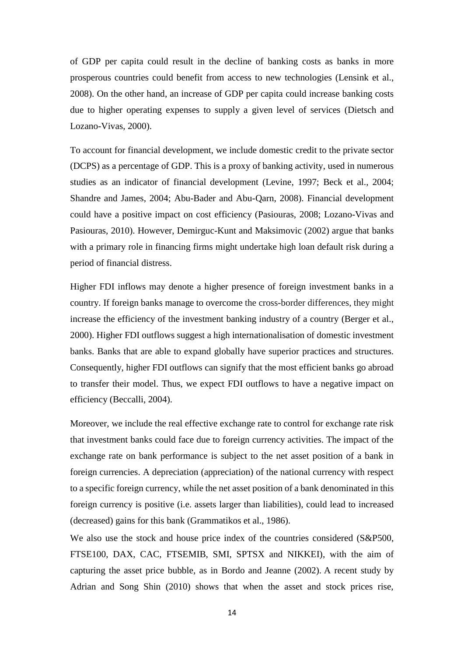of GDP per capita could result in the decline of banking costs as banks in more prosperous countries could benefit from access to new technologies (Lensink et al., 2008). On the other hand, an increase of GDP per capita could increase banking costs due to higher operating expenses to supply a given level of services (Dietsch and Lozano-Vivas, 2000).

To account for financial development, we include domestic credit to the private sector (DCPS) as a percentage of GDP. This is a proxy of banking activity, used in numerous studies as an indicator of financial development (Levine, 1997; Beck et al., 2004; Shandre and James, 2004; Abu-Bader and Abu-Qarn, 2008). Financial development could have a positive impact on cost efficiency (Pasiouras, 2008; Lozano-Vivas and Pasiouras, 2010). However, Demirguc-Kunt and Maksimovic (2002) argue that banks with a primary role in financing firms might undertake high loan default risk during a period of financial distress.

Higher FDI inflows may denote a higher presence of foreign investment banks in a country. If foreign banks manage to overcome the cross-border differences, they might increase the efficiency of the investment banking industry of a country (Berger et al., 2000). Higher FDI outflows suggest a high internationalisation of domestic investment banks. Banks that are able to expand globally have superior practices and structures. Consequently, higher FDI outflows can signify that the most efficient banks go abroad to transfer their model. Thus, we expect FDI outflows to have a negative impact on efficiency (Beccalli, 2004).

Moreover, we include the real effective exchange rate to control for exchange rate risk that investment banks could face due to foreign currency activities. The impact of the exchange rate on bank performance is subject to the net asset position of a bank in foreign currencies. A depreciation (appreciation) of the national currency with respect to a specific foreign currency, while the net asset position of a bank denominated in this foreign currency is positive (i.e. assets larger than liabilities), could lead to increased (decreased) gains for this bank (Grammatikos et al., 1986).

We also use the stock and house price index of the countries considered (S&P500, FTSE100, DAX, CAC, FTSEMIB, SMI, SPTSX and NIKKEI), with the aim of capturing the asset price bubble, as in Bordo and Jeanne (2002). A recent study by Adrian and Song Shin (2010) shows that when the asset and stock prices rise,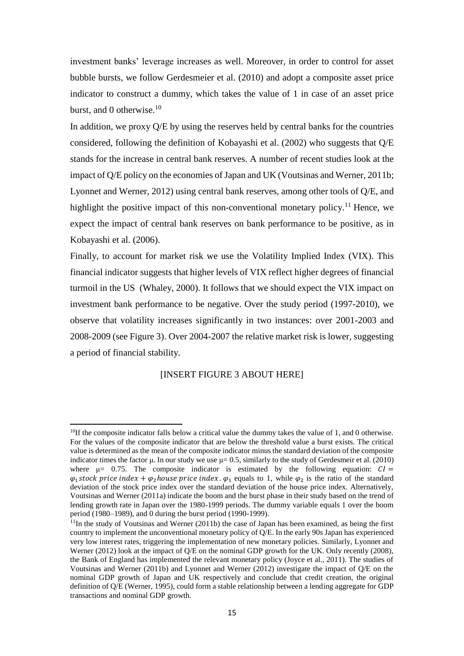investment banks' leverage increases as well. Moreover, in order to control for asset bubble bursts, we follow Gerdesmeier et al. (2010) and adopt a composite asset price indicator to construct a dummy, which takes the value of 1 in case of an asset price burst, and 0 otherwise.<sup>10</sup>

In addition, we proxy Q/E by using the reserves held by central banks for the countries considered, following the definition of Kobayashi et al. (2002) who suggests that Q/E stands for the increase in central bank reserves. A number of recent studies look at the impact of Q/E policy on the economies of Japan and UK (Voutsinas and Werner, 2011b; Lyonnet and Werner, 2012) using central bank reserves, among other tools of Q/E, and highlight the positive impact of this non-conventional monetary policy.<sup>11</sup> Hence, we expect the impact of central bank reserves on bank performance to be positive, as in Kobayashi et al. (2006).

Finally, to account for market risk we use the Volatility Implied Index (VIX). This financial indicator suggests that higher levels of VIX reflect higher degrees of financial turmoil in the US (Whaley, 2000). It follows that we should expect the VIX impact on investment bank performance to be negative. Over the study period (1997-2010), we observe that volatility increases significantly in two instances: over 2001-2003 and 2008-2009 (see Figure 3). Over 2004-2007 the relative market risk is lower, suggesting a period of financial stability.

### [INSERT FIGURE 3 ABOUT HERE]

1

<sup>&</sup>lt;sup>10</sup>If the composite indicator falls below a critical value the dummy takes the value of 1, and 0 otherwise. For the values of the composite indicator that are below the threshold value a burst exists. The critical value is determined as the mean of the composite indicator minus the standard deviation of the composite indicator times the factor μ. In our study we use  $\mu = 0.5$ , similarly to the study of Gerdesmeir et al. (2010) where  $\mu$  = 0.75. The composite indicator is estimated by the following equation:  $CI =$  $\varphi_1$ stock price index +  $\varphi_2$ house price index.  $\varphi_1$  equals to 1, while  $\varphi_2$  is the ratio of the standard deviation of the stock price index over the standard deviation of the house price index. Alternatively, Voutsinas and Werner (2011a) indicate the boom and the burst phase in their study based on the trend of lending growth rate in Japan over the 1980-1999 periods. The dummy variable equals 1 over the boom period (1980–1989), and 0 during the burst period (1990-1999).

 $11$ In the study of Voutsinas and Werner (2011b) the case of Japan has been examined, as being the first country to implement the unconventional monetary policy of Q/E. In the early 90s Japan has experienced very low interest rates, triggering the implementation of new monetary policies. Similarly, Lyonnet and Werner (2012) look at the impact of O/E on the nominal GDP growth for the UK. Only recently (2008), the Bank of England has implemented the relevant monetary policy (Joyce et al., 2011). The studies of Voutsinas and Werner (2011b) and Lyonnet and Werner (2012) investigate the impact of Q/E on the nominal GDP growth of Japan and UK respectively and conclude that credit creation, the original definition of Q/E (Werner, 1995), could form a stable relationship between a lending aggregate for GDP transactions and nominal GDP growth.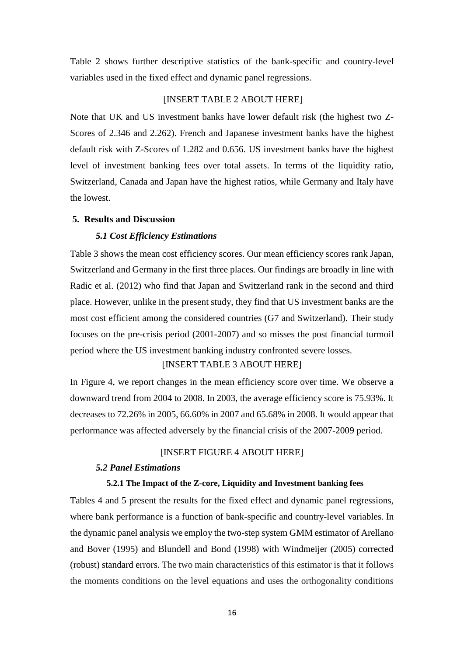Table 2 shows further descriptive statistics of the bank-specific and country-level variables used in the fixed effect and dynamic panel regressions.

### [INSERT TABLE 2 ABOUT HERE]

Note that UK and US investment banks have lower default risk (the highest two Z-Scores of 2.346 and 2.262). French and Japanese investment banks have the highest default risk with Z-Scores of 1.282 and 0.656. US investment banks have the highest level of investment banking fees over total assets. In terms of the liquidity ratio, Switzerland, Canada and Japan have the highest ratios, while Germany and Italy have the lowest.

### **5. Results and Discussion**

### *5.1 Cost Efficiency Estimations*

Table 3 shows the mean cost efficiency scores. Our mean efficiency scores rank Japan, Switzerland and Germany in the first three places. Our findings are broadly in line with Radic et al. (2012) who find that Japan and Switzerland rank in the second and third place. However, unlike in the present study, they find that US investment banks are the most cost efficient among the considered countries (G7 and Switzerland). Their study focuses on the pre-crisis period (2001-2007) and so misses the post financial turmoil period where the US investment banking industry confronted severe losses.

### [INSERT TABLE 3 ABOUT HERE]

In Figure 4, we report changes in the mean efficiency score over time. We observe a downward trend from 2004 to 2008. In 2003, the average efficiency score is 75.93%. It decreases to 72.26% in 2005, 66.60% in 2007 and 65.68% in 2008. It would appear that performance was affected adversely by the financial crisis of the 2007-2009 period.

### [INSERT FIGURE 4 ABOUT HERE]

### *5.2 Panel Estimations*

### **5.2.1 The Impact of the Z-core, Liquidity and Investment banking fees**

Tables 4 and 5 present the results for the fixed effect and dynamic panel regressions, where bank performance is a function of bank-specific and country-level variables. In the dynamic panel analysis we employ the two-step system GMM estimator of Arellano and Bover (1995) and Blundell and Bond (1998) with Windmeijer (2005) corrected (robust) standard errors. The two main characteristics of this estimator is that it follows the moments conditions on the level equations and uses the orthogonality conditions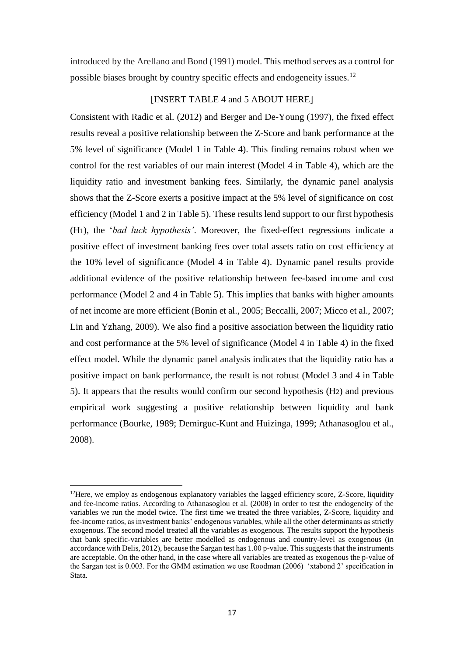introduced by the Arellano and Bond (1991) model. This method serves as a control for possible biases brought by country specific effects and endogeneity issues.<sup>12</sup>

### [INSERT TABLE 4 and 5 ABOUT HERE]

Consistent with Radic et al. (2012) and Berger and De-Young (1997), the fixed effect results reveal a positive relationship between the Z-Score and bank performance at the 5% level of significance (Model 1 in Table 4). This finding remains robust when we control for the rest variables of our main interest (Model 4 in Table 4), which are the liquidity ratio and investment banking fees. Similarly, the dynamic panel analysis shows that the Z-Score exerts a positive impact at the 5% level of significance on cost efficiency (Model 1 and 2 in Table 5). These results lend support to our first hypothesis (H1), the '*bad luck hypothesis'*. Moreover, the fixed-effect regressions indicate a positive effect of investment banking fees over total assets ratio on cost efficiency at the 10% level of significance (Model 4 in Table 4). Dynamic panel results provide additional evidence of the positive relationship between fee-based income and cost performance (Model 2 and 4 in Table 5). This implies that banks with higher amounts of net income are more efficient (Bonin et al., 2005; Beccalli, 2007; Micco et al., 2007; Lin and Yzhang, 2009). We also find a positive association between the liquidity ratio and cost performance at the 5% level of significance (Model 4 in Table 4) in the fixed effect model. While the dynamic panel analysis indicates that the liquidity ratio has a positive impact on bank performance, the result is not robust (Model 3 and 4 in Table 5). It appears that the results would confirm our second hypothesis (H2) and previous empirical work suggesting a positive relationship between liquidity and bank performance (Bourke, 1989; Demirguc-Kunt and Huizinga, 1999; Athanasoglou et al., 2008).

1

 $12$ Here, we employ as endogenous explanatory variables the lagged efficiency score, Z-Score, liquidity and fee-income ratios. According to Athanasoglou et al. (2008) in order to test the endogeneity of the variables we run the model twice. The first time we treated the three variables, Z-Score, liquidity and fee-income ratios, as investment banks' endogenous variables, while all the other determinants as strictly exogenous. The second model treated all the variables as exogenous. The results support the hypothesis that bank specific-variables are better modelled as endogenous and country-level as exogenous (in accordance with Delis, 2012), because the Sargan test has 1.00 p-value. This suggests that the instruments are acceptable. On the other hand, in the case where all variables are treated as exogenous the p-value of the Sargan test is 0.003. For the GMM estimation we use Roodman (2006) 'xtabond 2' specification in Stata.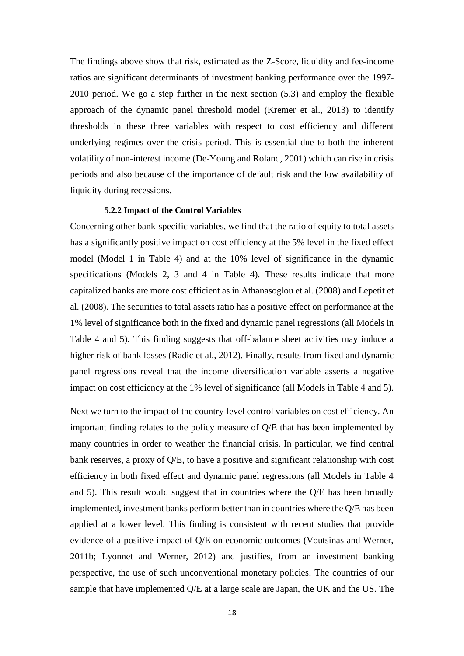The findings above show that risk, estimated as the Z-Score, liquidity and fee-income ratios are significant determinants of investment banking performance over the 1997- 2010 period. We go a step further in the next section (5.3) and employ the flexible approach of the dynamic panel threshold model (Kremer et al., 2013) to identify thresholds in these three variables with respect to cost efficiency and different underlying regimes over the crisis period. This is essential due to both the inherent volatility of non-interest income (De-Young and Roland, 2001) which can rise in crisis periods and also because of the importance of default risk and the low availability of liquidity during recessions.

### **5.2.2 Impact of the Control Variables**

Concerning other bank-specific variables, we find that the ratio of equity to total assets has a significantly positive impact on cost efficiency at the 5% level in the fixed effect model (Model 1 in Table 4) and at the 10% level of significance in the dynamic specifications (Models 2, 3 and 4 in Table 4). These results indicate that more capitalized banks are more cost efficient as in Athanasoglou et al. (2008) and Lepetit et al. (2008). The securities to total assets ratio has a positive effect on performance at the 1% level of significance both in the fixed and dynamic panel regressions (all Models in Table 4 and 5). This finding suggests that off-balance sheet activities may induce a higher risk of bank losses (Radic et al., 2012). Finally, results from fixed and dynamic panel regressions reveal that the income diversification variable asserts a negative impact on cost efficiency at the 1% level of significance (all Models in Table 4 and 5).

Next we turn to the impact of the country-level control variables on cost efficiency. An important finding relates to the policy measure of Q/E that has been implemented by many countries in order to weather the financial crisis. In particular, we find central bank reserves, a proxy of Q/E, to have a positive and significant relationship with cost efficiency in both fixed effect and dynamic panel regressions (all Models in Table 4 and 5). This result would suggest that in countries where the Q/E has been broadly implemented, investment banks perform better than in countries where the Q/E has been applied at a lower level. This finding is consistent with recent studies that provide evidence of a positive impact of Q/E on economic outcomes (Voutsinas and Werner, 2011b; Lyonnet and Werner, 2012) and justifies, from an investment banking perspective, the use of such unconventional monetary policies. The countries of our sample that have implemented Q/E at a large scale are Japan, the UK and the US. The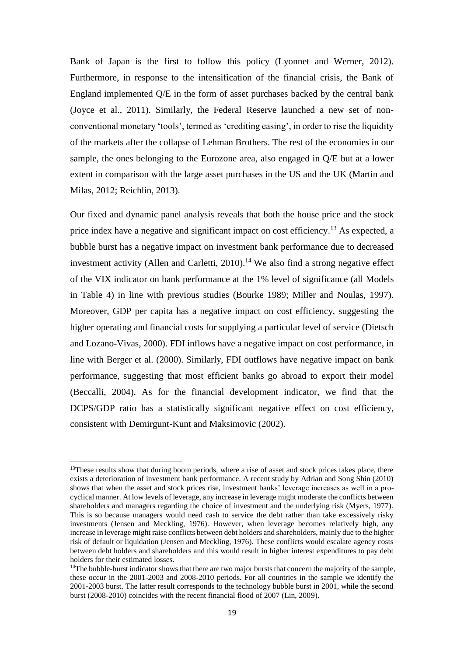Bank of Japan is the first to follow this policy (Lyonnet and Werner, 2012). Furthermore, in response to the intensification of the financial crisis, the Bank of England implemented Q/E in the form of asset purchases backed by the central bank (Joyce et al., 2011). Similarly, the Federal Reserve launched a new set of nonconventional monetary 'tools', termed as 'crediting easing', in order to rise the liquidity of the markets after the collapse of Lehman Brothers. The rest of the economies in our sample, the ones belonging to the Eurozone area, also engaged in Q/E but at a lower extent in comparison with the large asset purchases in the US and the UK (Martin and Milas, 2012; Reichlin, 2013).

Our fixed and dynamic panel analysis reveals that both the house price and the stock price index have a negative and significant impact on cost efficiency.<sup>13</sup> As expected, a bubble burst has a negative impact on investment bank performance due to decreased investment activity (Allen and Carletti,  $2010$ ).<sup>14</sup> We also find a strong negative effect of the VIX indicator on bank performance at the 1% level of significance (all Models in Table 4) in line with previous studies (Bourke 1989; Miller and Noulas, 1997). Moreover, GDP per capita has a negative impact on cost efficiency, suggesting the higher operating and financial costs for supplying a particular level of service (Dietsch and Lozano-Vivas, 2000). FDI inflows have a negative impact on cost performance, in line with Berger et al. (2000). Similarly, FDI outflows have negative impact on bank performance, suggesting that most efficient banks go abroad to export their model (Beccalli, 2004). As for the financial development indicator, we find that the DCPS/GDP ratio has a statistically significant negative effect on cost efficiency, consistent with Demirgunt-Kunt and Maksimovic (2002).

1

 $13$ These results show that during boom periods, where a rise of asset and stock prices takes place, there exists a deterioration of investment bank performance. A recent study by Adrian and Song Shin (2010) shows that when the asset and stock prices rise, investment banks' leverage increases as well in a procyclical manner. At low levels of leverage, any increase in leverage might moderate the conflicts between shareholders and managers regarding the choice of investment and the underlying risk (Myers, 1977). This is so because managers would need cash to service the debt rather than take excessively risky investments (Jensen and Meckling, 1976). However, when leverage becomes relatively high, any increase in leverage might raise conflicts between debt holders and shareholders, mainly due to the higher risk of default or liquidation (Jensen and Meckling, 1976). These conflicts would escalate agency costs between debt holders and shareholders and this would result in higher interest expenditures to pay debt holders for their estimated losses.

<sup>&</sup>lt;sup>14</sup>The bubble-burst indicator shows that there are two major bursts that concern the majority of the sample, these occur in the 2001-2003 and 2008-2010 periods. For all countries in the sample we identify the 2001-2003 burst. The latter result corresponds to the technology bubble burst in 2001, while the second burst (2008-2010) coincides with the recent financial flood of 2007 (Lin, 2009).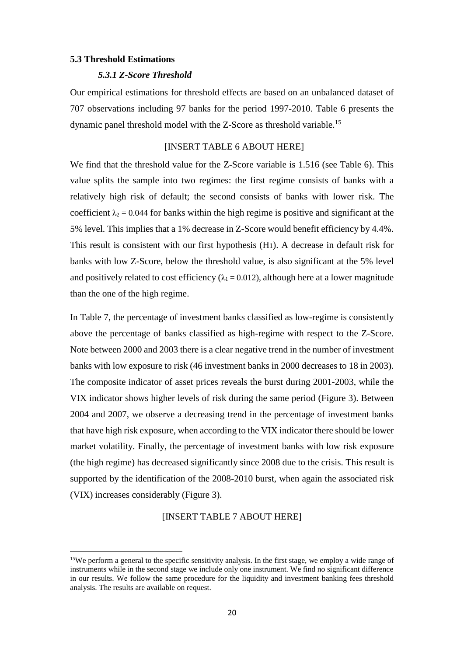#### **5.3 Threshold Estimations**

**.** 

### *5.3.1 Z-Score Threshold*

Our empirical estimations for threshold effects are based on an unbalanced dataset of 707 observations including 97 banks for the period 1997-2010. Table 6 presents the dynamic panel threshold model with the Z-Score as threshold variable.<sup>15</sup>

#### [INSERT TABLE 6 ABOUT HERE]

We find that the threshold value for the Z-Score variable is 1.516 (see Table 6). This value splits the sample into two regimes: the first regime consists of banks with a relatively high risk of default; the second consists of banks with lower risk. The coefficient  $\lambda_2 = 0.044$  for banks within the high regime is positive and significant at the 5% level. This implies that a 1% decrease in Z-Score would benefit efficiency by 4.4%. This result is consistent with our first hypothesis (H1). A decrease in default risk for banks with low Z-Score, below the threshold value, is also significant at the 5% level and positively related to cost efficiency ( $\lambda_1 = 0.012$ ), although here at a lower magnitude than the one of the high regime.

In Table 7, the percentage of investment banks classified as low-regime is consistently above the percentage of banks classified as high-regime with respect to the Z-Score. Note between 2000 and 2003 there is a clear negative trend in the number of investment banks with low exposure to risk (46 investment banks in 2000 decreases to 18 in 2003). The composite indicator of asset prices reveals the burst during 2001-2003, while the VIX indicator shows higher levels of risk during the same period (Figure 3). Between 2004 and 2007, we observe a decreasing trend in the percentage of investment banks that have high risk exposure, when according to the VIX indicator there should be lower market volatility. Finally, the percentage of investment banks with low risk exposure (the high regime) has decreased significantly since 2008 due to the crisis. This result is supported by the identification of the 2008-2010 burst, when again the associated risk (VIX) increases considerably (Figure 3).

### [INSERT TABLE 7 ABOUT HERE]

<sup>&</sup>lt;sup>15</sup>We perform a general to the specific sensitivity analysis. In the first stage, we employ a wide range of instruments while in the second stage we include only one instrument. We find no significant difference in our results. We follow the same procedure for the liquidity and investment banking fees threshold analysis. The results are available on request.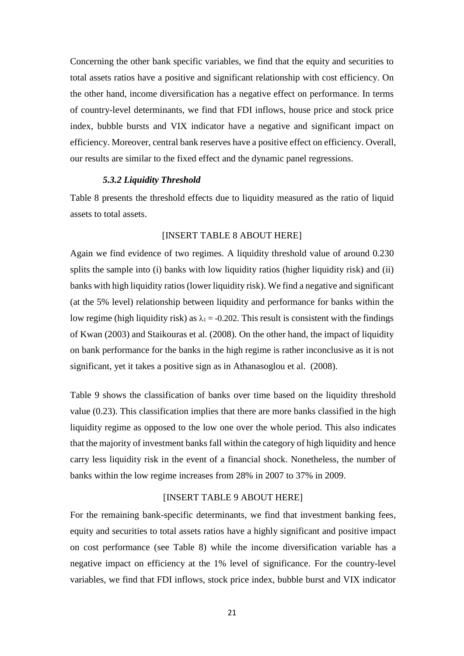Concerning the other bank specific variables, we find that the equity and securities to total assets ratios have a positive and significant relationship with cost efficiency. On the other hand, income diversification has a negative effect on performance. In terms of country-level determinants, we find that FDI inflows, house price and stock price index, bubble bursts and VIX indicator have a negative and significant impact on efficiency. Moreover, central bank reserves have a positive effect on efficiency. Overall, our results are similar to the fixed effect and the dynamic panel regressions.

#### *5.3.2 Liquidity Threshold*

Table 8 presents the threshold effects due to liquidity measured as the ratio of liquid assets to total assets.

### [INSERT TABLE 8 ABOUT HERE]

Again we find evidence of two regimes. A liquidity threshold value of around 0.230 splits the sample into (i) banks with low liquidity ratios (higher liquidity risk) and (ii) banks with high liquidity ratios(lower liquidity risk). We find a negative and significant (at the 5% level) relationship between liquidity and performance for banks within the low regime (high liquidity risk) as  $\lambda_1 = -0.202$ . This result is consistent with the findings of Kwan (2003) and Staikouras et al. (2008). On the other hand, the impact of liquidity on bank performance for the banks in the high regime is rather inconclusive as it is not significant, yet it takes a positive sign as in Athanasoglou et al. (2008).

Table 9 shows the classification of banks over time based on the liquidity threshold value (0.23). This classification implies that there are more banks classified in the high liquidity regime as opposed to the low one over the whole period. This also indicates that the majority of investment banks fall within the category of high liquidity and hence carry less liquidity risk in the event of a financial shock. Nonetheless, the number of banks within the low regime increases from 28% in 2007 to 37% in 2009.

### [INSERT TABLE 9 ABOUT HERE]

For the remaining bank-specific determinants, we find that investment banking fees, equity and securities to total assets ratios have a highly significant and positive impact on cost performance (see Table 8) while the income diversification variable has a negative impact on efficiency at the 1% level of significance. For the country-level variables, we find that FDI inflows, stock price index, bubble burst and VIX indicator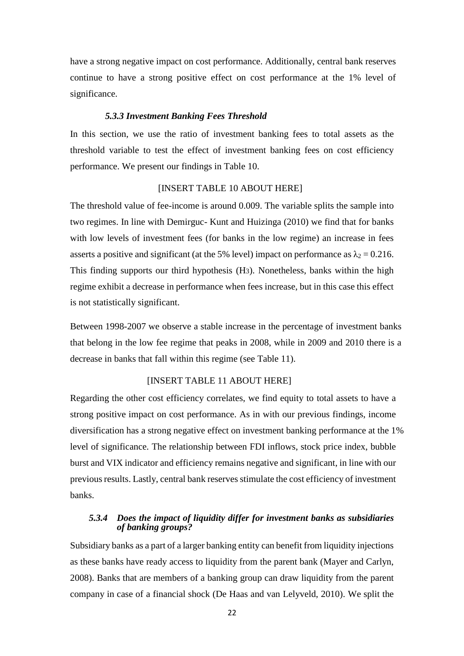have a strong negative impact on cost performance. Additionally, central bank reserves continue to have a strong positive effect on cost performance at the 1% level of significance.

#### *5.3.3 Investment Banking Fees Threshold*

In this section, we use the ratio of investment banking fees to total assets as the threshold variable to test the effect of investment banking fees on cost efficiency performance. We present our findings in Table 10.

### [INSERT TABLE 10 ABOUT HERE]

The threshold value of fee-income is around 0.009. The variable splits the sample into two regimes. In line with Demirguc- Kunt and Huizinga (2010) we find that for banks with low levels of investment fees (for banks in the low regime) an increase in fees asserts a positive and significant (at the 5% level) impact on performance as  $\lambda_2 = 0.216$ . This finding supports our third hypothesis (H3). Nonetheless, banks within the high regime exhibit a decrease in performance when fees increase, but in this case this effect is not statistically significant.

Between 1998-2007 we observe a stable increase in the percentage of investment banks that belong in the low fee regime that peaks in 2008, while in 2009 and 2010 there is a decrease in banks that fall within this regime (see Table 11).

### [INSERT TABLE 11 ABOUT HERE]

Regarding the other cost efficiency correlates, we find equity to total assets to have a strong positive impact on cost performance. As in with our previous findings, income diversification has a strong negative effect on investment banking performance at the 1% level of significance. The relationship between FDI inflows, stock price index, bubble burst and VIX indicator and efficiency remains negative and significant, in line with our previous results. Lastly, central bank reserves stimulate the cost efficiency of investment banks.

### *5.3.4 Does the impact of liquidity differ for investment banks as subsidiaries of banking groups?*

Subsidiary banks as a part of a larger banking entity can benefit from liquidity injections as these banks have ready access to liquidity from the parent bank (Mayer and Carlyn, 2008). Banks that are members of a banking group can draw liquidity from the parent company in case of a financial shock (De Haas and van Lelyveld, 2010). We split the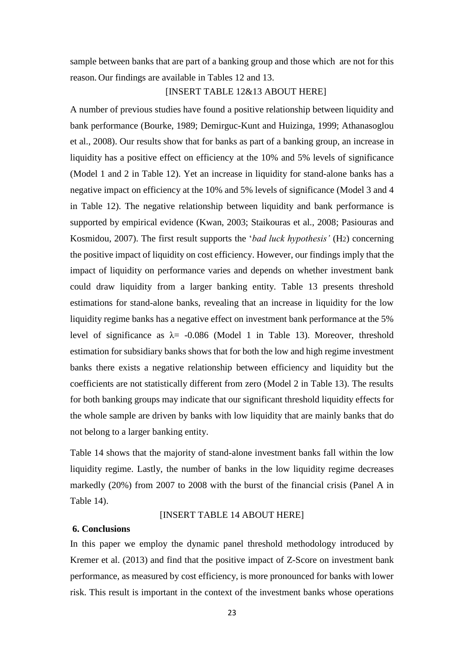sample between banks that are part of a banking group and those which are not for this reason. Our findings are available in Tables 12 and 13.

### [INSERT TABLE 12&13 ABOUT HERE]

A number of previous studies have found a positive relationship between liquidity and bank performance (Bourke, 1989; Demirguc-Kunt and Huizinga, 1999; Athanasoglou et al., 2008). Our results show that for banks as part of a banking group, an increase in liquidity has a positive effect on efficiency at the 10% and 5% levels of significance (Model 1 and 2 in Table 12). Yet an increase in liquidity for stand-alone banks has a negative impact on efficiency at the 10% and 5% levels of significance (Model 3 and 4 in Table 12). The negative relationship between liquidity and bank performance is supported by empirical evidence (Kwan, 2003; Staikouras et al., 2008; Pasiouras and Kosmidou, 2007). The first result supports the '*bad luck hypothesis'* (H2) concerning the positive impact of liquidity on cost efficiency. However, our findings imply that the impact of liquidity on performance varies and depends on whether investment bank could draw liquidity from a larger banking entity. Table 13 presents threshold estimations for stand-alone banks, revealing that an increase in liquidity for the low liquidity regime banks has a negative effect on investment bank performance at the 5% level of significance as  $\lambda$  = -0.086 (Model 1 in Table 13). Moreover, threshold estimation for subsidiary banks shows that for both the low and high regime investment banks there exists a negative relationship between efficiency and liquidity but the coefficients are not statistically different from zero (Model 2 in Table 13). The results for both banking groups may indicate that our significant threshold liquidity effects for the whole sample are driven by banks with low liquidity that are mainly banks that do not belong to a larger banking entity.

Table 14 shows that the majority of stand-alone investment banks fall within the low liquidity regime. Lastly, the number of banks in the low liquidity regime decreases markedly (20%) from 2007 to 2008 with the burst of the financial crisis (Panel A in Table 14).

### [INSERT TABLE 14 ABOUT HERE]

#### **6. Conclusions**

In this paper we employ the dynamic panel threshold methodology introduced by Kremer et al. (2013) and find that the positive impact of Z-Score on investment bank performance, as measured by cost efficiency, is more pronounced for banks with lower risk. This result is important in the context of the investment banks whose operations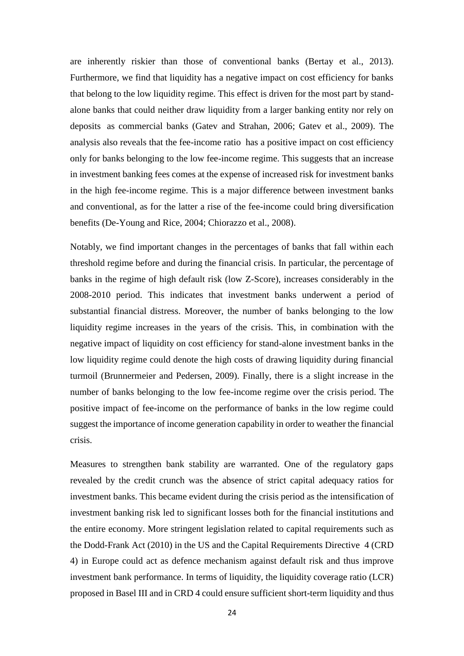are inherently riskier than those of conventional banks (Bertay et al., 2013). Furthermore, we find that liquidity has a negative impact on cost efficiency for banks that belong to the low liquidity regime. This effect is driven for the most part by standalone banks that could neither draw liquidity from a larger banking entity nor rely on deposits as commercial banks (Gatev and Strahan, 2006; Gatev et al., 2009). The analysis also reveals that the fee-income ratio has a positive impact on cost efficiency only for banks belonging to the low fee-income regime. This suggests that an increase in investment banking fees comes at the expense of increased risk for investment banks in the high fee-income regime. This is a major difference between investment banks and conventional, as for the latter a rise of the fee-income could bring diversification benefits (De-Young and Rice, 2004; Chiorazzo et al., 2008).

Notably, we find important changes in the percentages of banks that fall within each threshold regime before and during the financial crisis. In particular, the percentage of banks in the regime of high default risk (low Z-Score), increases considerably in the 2008-2010 period. This indicates that investment banks underwent a period of substantial financial distress. Moreover, the number of banks belonging to the low liquidity regime increases in the years of the crisis. This, in combination with the negative impact of liquidity on cost efficiency for stand-alone investment banks in the low liquidity regime could denote the high costs of drawing liquidity during financial turmoil (Brunnermeier and Pedersen, 2009). Finally, there is a slight increase in the number of banks belonging to the low fee-income regime over the crisis period. The positive impact of fee-income on the performance of banks in the low regime could suggest the importance of income generation capability in order to weather the financial crisis.

Measures to strengthen bank stability are warranted. One of the regulatory gaps revealed by the credit crunch was the absence of strict capital adequacy ratios for investment banks. This became evident during the crisis period as the intensification of investment banking risk led to significant losses both for the financial institutions and the entire economy. More stringent legislation related to capital requirements such as the Dodd-Frank Act (2010) in the US and the Capital Requirements Directive 4 (CRD 4) in Europe could act as defence mechanism against default risk and thus improve investment bank performance. In terms of liquidity, the liquidity coverage ratio (LCR) proposed in Basel III and in CRD 4 could ensure sufficient short-term liquidity and thus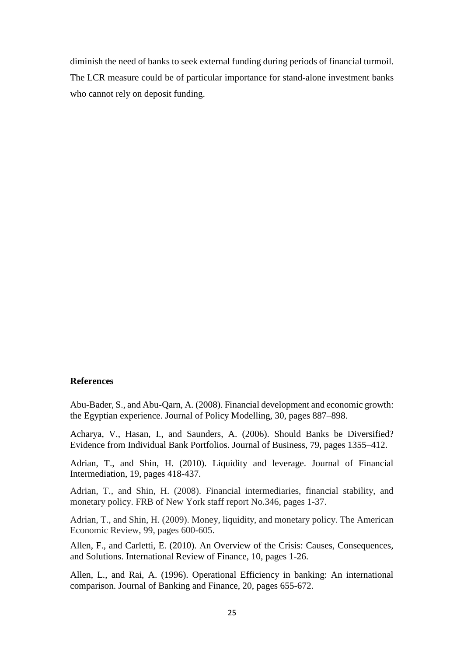diminish the need of banks to seek external funding during periods of financial turmoil. The LCR measure could be of particular importance for stand-alone investment banks who cannot rely on deposit funding.

### **References**

Abu-Bader, S., and Abu-Qarn, A. (2008). Financial development and economic growth: the Egyptian experience. Journal of Policy Modelling, 30, pages 887–898.

Acharya, V., Hasan, I., and Saunders, A. (2006). Should Banks be Diversified? Evidence from Individual Bank Portfolios. Journal of Business, 79, pages 1355–412.

Adrian, T., and Shin, H. (2010). Liquidity and leverage. Journal of Financial Intermediation, 19, pages 418-437.

Adrian, T., and Shin, H. (2008). Financial intermediaries, financial stability, and monetary policy. FRB of New York staff report No.346, pages 1-37.

Adrian, T., and Shin, H. (2009). Money, liquidity, and monetary policy. The American Economic Review, 99, pages 600-605.

Allen, F., and Carletti, E. (2010). An Overview of the Crisis: Causes, Consequences, and Solutions. International Review of Finance, 10, pages 1-26.

Allen, L., and Rai, A. (1996). Operational Efficiency in banking: An international comparison. Journal of Banking and Finance, 20, pages 655-672.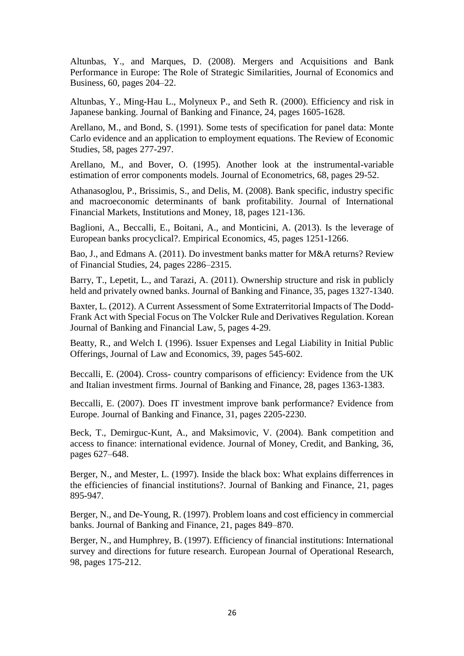Altunbas, Y., and Marques, D. (2008). Mergers and Acquisitions and Bank Performance in Europe: The Role of Strategic Similarities, Journal of Economics and Business, 60, pages 204–22.

Altunbas, Y., Ming-Hau L., Molyneux P., and Seth R. (2000). Efficiency and risk in Japanese banking. Journal of Banking and Finance, 24, pages 1605-1628.

Arellano, M., and Bond, S. (1991). Some tests of specification for panel data: Monte Carlo evidence and an application to employment equations. The Review of Economic Studies, 58, pages 277-297.

Arellano, M., and Bover, O. (1995). Another look at the instrumental-variable estimation of error components models. Journal of Econometrics, 68, pages 29-52.

Athanasoglou, P., Brissimis, S., and Delis, M. (2008). Bank specific, industry specific and macroeconomic determinants of bank profitability. Journal of International Financial Markets, Institutions and Money, 18, pages 121-136.

Baglioni, A., Beccalli, E., Boitani, A., and Monticini, A. (2013). Is the leverage of European banks procyclical?. Empirical Economics, 45, pages 1251-1266.

Bao, J., and Edmans A. (2011). Do investment banks matter for M&A returns? Review of Financial Studies, 24, pages 2286–2315.

Barry, T., Lepetit, L., and Tarazi, A. (2011). Ownership structure and risk in publicly held and privately owned banks. Journal of Banking and Finance, 35, pages 1327-1340.

Baxter, L. (2012). A Current Assessment of Some Extraterritorial Impacts of The Dodd-Frank Act with Special Focus on The Volcker Rule and Derivatives Regulation. Korean Journal of Banking and Financial Law, 5, pages 4-29.

Beatty, R., and Welch I. (1996). Issuer Expenses and Legal Liability in Initial Public Offerings, Journal of Law and Economics, 39, pages 545-602.

Beccalli, E. (2004). Cross- country comparisons of efficiency: Evidence from the UK and Italian investment firms. Journal of Banking and Finance, 28, pages 1363-1383.

Beccalli, E. (2007). Does IT investment improve bank performance? Evidence from Europe. Journal of Banking and Finance, 31, pages 2205-2230.

Beck, T., Demirguc-Kunt, A., and Maksimovic, V. (2004). Bank competition and access to finance: international evidence. Journal of Money, Credit, and Banking, 36, pages 627–648.

Berger, N., and Mester, L. (1997). Inside the black box: What explains differrences in the efficiencies of financial institutions?. Journal of Banking and Finance, 21, pages 895-947.

Berger, N., and De-Young, R. (1997). Problem loans and cost efficiency in commercial banks. Journal of Banking and Finance, 21, pages 849–870.

Berger, N., and Humphrey, B. (1997). Efficiency of financial institutions: International survey and directions for future research. European Journal of Operational Research, 98, pages 175-212.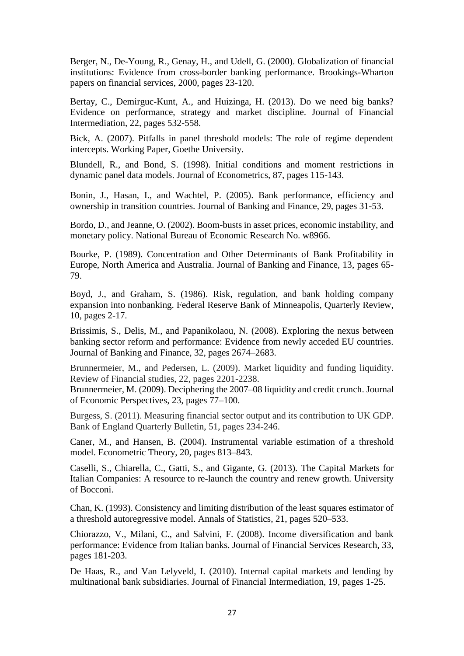Berger, N., De-Young, R., Genay, H., and Udell, G. (2000). Globalization of financial institutions: Evidence from cross-border banking performance. Brookings-Wharton papers on financial services, 2000, pages 23-120.

Bertay, C., Demirguc-Kunt, A., and Huizinga, H. (2013). Do we need big banks? Evidence on performance, strategy and market discipline. Journal of Financial Intermediation, 22, pages 532-558.

Bick, A. (2007). Pitfalls in panel threshold models: The role of regime dependent intercepts. Working Paper, Goethe University.

Blundell, R., and Bond, S. (1998). Initial conditions and moment restrictions in dynamic panel data models. Journal of Econometrics, 87, pages 115-143.

Bonin, J., Hasan, I., and Wachtel, P. (2005). Bank performance, efficiency and ownership in transition countries. Journal of Banking and Finance, 29, pages 31-53.

Bordo, D., and Jeanne, O. (2002). Boom-busts in asset prices, economic instability, and monetary policy. National Bureau of Economic Research No. w8966.

Bourke, P. (1989). Concentration and Other Determinants of Bank Profitability in Europe, North America and Australia. Journal of Banking and Finance, 13, pages 65- 79.

Boyd, J., and Graham, S. (1986). Risk, regulation, and bank holding company expansion into nonbanking. Federal Reserve Bank of Minneapolis, Quarterly Review, 10, pages 2-17.

Brissimis, S., Delis, M., and Papanikolaou, N. (2008). Exploring the nexus between banking sector reform and performance: Evidence from newly acceded EU countries. Journal of Banking and Finance, 32, pages 2674–2683.

Brunnermeier, M., and Pedersen, L. (2009). Market liquidity and funding liquidity. Review of Financial studies, 22, pages 2201-2238.

Brunnermeier, M. (2009). Deciphering the 2007–08 liquidity and credit crunch. Journal of Economic Perspectives, 23, pages 77–100.

Burgess, S. (2011). Measuring financial sector output and its contribution to UK GDP. Bank of England Quarterly Bulletin, 51, pages 234-246.

Caner, M., and Hansen, B. (2004). Instrumental variable estimation of a threshold model. Econometric Theory, 20, pages 813–843.

Caselli, S., Chiarella, C., Gatti, S., and Gigante, G. (2013). The Capital Markets for Italian Companies: A resource to re-launch the country and renew growth. University of Bocconi.

Chan, K. (1993). Consistency and limiting distribution of the least squares estimator of a threshold autoregressive model. Annals of Statistics, 21, pages 520–533.

Chiorazzo, V., Milani, C., and Salvini, F. (2008). Income diversification and bank performance: Evidence from Italian banks. Journal of Financial Services Research, 33, pages 181-203.

De Haas, R., and Van Lelyveld, I. (2010). Internal capital markets and lending by multinational bank subsidiaries. Journal of Financial Intermediation, 19, pages 1-25.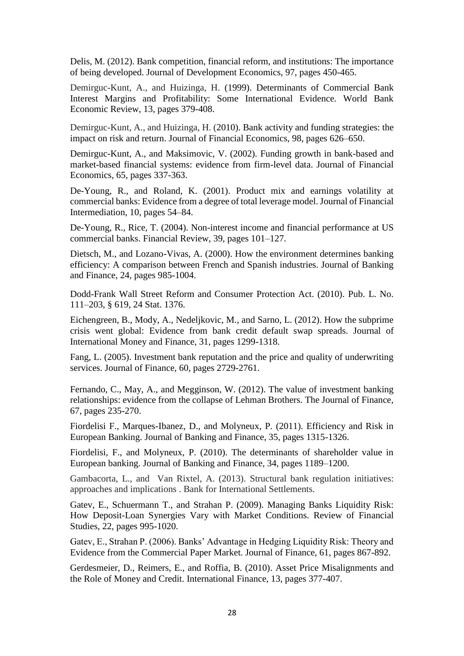Delis, M. (2012). Bank competition, financial reform, and institutions: The importance of being developed. Journal of Development Economics, 97, pages 450-465.

Demirguc-Kunt, A., and Huizinga, H. (1999). Determinants of Commercial Bank Interest Margins and Profitability: Some International Evidence. World Bank Economic Review, 13, pages 379-408.

Demirguc-Kunt, A., and Huizinga, H. (2010). Bank activity and funding strategies: the impact on risk and return. Journal of Financial Economics, 98, pages 626–650.

Demirguc-Kunt, A., and Maksimovic, V. (2002). Funding growth in bank-based and market-based financial systems: evidence from firm-level data. Journal of Financial Economics, 65, pages 337-363.

De-Young, R., and Roland, K. (2001). Product mix and earnings volatility at commercial banks: Evidence from a degree of total leverage model. Journal of Financial Intermediation, 10, pages 54–84.

De-Young, R., Rice, T. (2004). Non-interest income and financial performance at US commercial banks. Financial Review, 39, pages 101–127.

Dietsch, M., and Lozano-Vivas, A. (2000). How the environment determines banking efficiency: A comparison between French and Spanish industries. Journal of Banking and Finance, 24, pages 985-1004.

Dodd-Frank Wall Street Reform and Consumer Protection Act. (2010). Pub. L. No. 111–203, § 619, 24 Stat. 1376.

Eichengreen, B., Mody, A., Nedeljkovic, M., and Sarno, L. (2012). How the subprime crisis went global: Evidence from bank credit default swap spreads. Journal of International Money and Finance, 31, pages 1299-1318.

Fang, L. (2005). Investment bank reputation and the price and quality of underwriting services. Journal of Finance, 60, pages 2729-2761.

Fernando, C., May, A., and Megginson, W. (2012). The value of investment banking relationships: evidence from the collapse of Lehman Brothers. The Journal of Finance, 67, pages 235-270.

Fiordelisi F., Marques-Ibanez, D., and Molyneux, P. (2011). Efficiency and Risk in European Banking. Journal of Banking and Finance, 35, pages 1315-1326.

Fiordelisi, F., and Molyneux, P. (2010). The determinants of shareholder value in European banking. Journal of Banking and Finance, 34, pages 1189–1200.

Gambacorta, L., and Van Rixtel, A. (2013). Structural bank regulation initiatives: approaches and implications . Bank for International Settlements.

Gatev, E., Schuermann T., and Strahan P. (2009). Managing Banks Liquidity Risk: How Deposit-Loan Synergies Vary with Market Conditions. Review of Financial Studies, 22, pages 995-1020.

Gatev, E., Strahan P. (2006). Banks' Advantage in Hedging Liquidity Risk: Theory and Evidence from the Commercial Paper Market. Journal of Finance, 61, pages 867-892.

Gerdesmeier, D., Reimers, E., and Roffia, B. (2010). Asset Price Misalignments and the Role of Money and Credit. International Finance, 13, pages 377-407.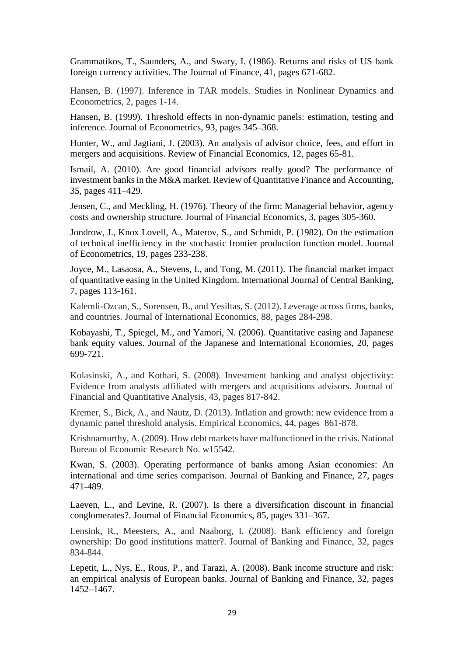Grammatikos, T., Saunders, A., and Swary, I. (1986). Returns and risks of US bank foreign currency activities. The Journal of Finance, 41, pages 671-682.

Hansen, B. (1997). Inference in TAR models. Studies in Nonlinear Dynamics and Econometrics, 2, pages 1-14.

Hansen, B. (1999). Threshold effects in non-dynamic panels: estimation, testing and inference. Journal of Econometrics, 93, pages 345–368.

Hunter, W., and Jagtiani, J. (2003). An analysis of advisor choice, fees, and effort in mergers and acquisitions. Review of Financial Economics, 12, pages 65-81.

Ismail, A. (2010). Are good financial advisors really good? The performance of investment banks in the M&A market. Review of Quantitative Finance and Accounting, 35, pages 411–429.

Jensen, C., and Meckling, H. (1976). Theory of the firm: Managerial behavior, agency costs and ownership structure. Journal of Financial Economics, 3, pages 305-360.

Jondrow, J., Knox Lovell, A., Materov, S., and Schmidt, P. (1982). On the estimation of technical inefficiency in the stochastic frontier production function model. Journal of Econometrics, 19, pages 233-238.

Joyce, M., Lasaosa, A., Stevens, I., and Tong, M. (2011). The financial market impact of quantitative easing in the United Kingdom. International Journal of Central Banking, 7, pages 113-161.

Kalemli-Ozcan, S., Sorensen, B., and Yesiltas, S. (2012). Leverage across firms, banks, and countries. Journal of International Economics, 88, pages 284-298.

Kobayashi, T., Spiegel, M., and Yamori, N. (2006). Quantitative easing and Japanese bank equity values. Journal of the Japanese and International Economies, 20, pages 699-721.

Kolasinski, A., and Kothari, S. (2008). Investment banking and analyst objectivity: Evidence from analysts affiliated with mergers and acquisitions advisors. Journal of Financial and Quantitative Analysis, 43, pages 817-842.

Kremer, S., Bick, A., and Nautz, D. (2013). Inflation and growth: new evidence from a dynamic panel threshold analysis. Empirical Economics, 44, pages 861-878.

Krishnamurthy, A. (2009). How debt markets have malfunctioned in the crisis. National Bureau of Economic Research No. w15542.

Kwan, S. (2003). Operating performance of banks among Asian economies: An international and time series comparison. Journal of Banking and Finance, 27, pages 471-489.

Laeven, L., and Levine, R. (2007). Is there a diversification discount in financial conglomerates?. Journal of Financial Economics, 85, pages 331–367.

Lensink, R., Meesters, A., and Naaborg, I. (2008). Bank efficiency and foreign ownership: Do good institutions matter?. Journal of Banking and Finance, 32, pages 834-844.

Lepetit, L., Nys, E., Rous, P., and Tarazi, A. (2008). Bank income structure and risk: an empirical analysis of European banks. Journal of Banking and Finance, 32, pages 1452–1467.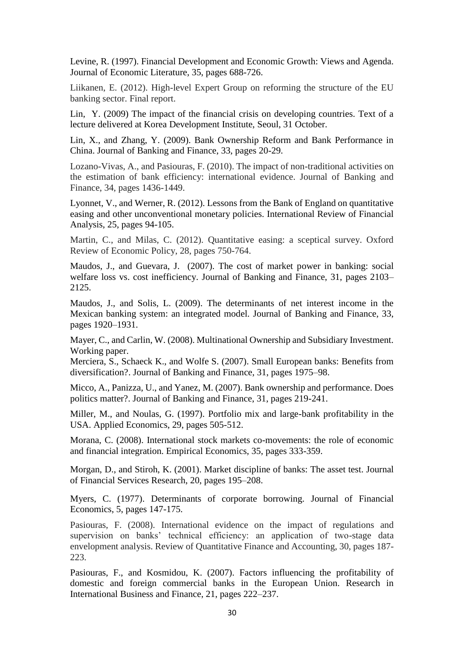Levine, R. (1997). Financial Development and Economic Growth: Views and Agenda. Journal of Economic Literature, 35, pages 688-726.

Liikanen, E. (2012). High-level Expert Group on reforming the structure of the EU banking sector. Final report.

Lin, Y. (2009) The impact of the financial crisis on developing countries. Text of a lecture delivered at Korea Development Institute, Seoul, 31 October.

Lin, X., and Zhang, Y. (2009). Bank Ownership Reform and Bank Performance in China. Journal of Banking and Finance, 33, pages 20-29.

Lozano-Vivas, A., and Pasiouras, F. (2010). The impact of non-traditional activities on the estimation of bank efficiency: international evidence. Journal of Banking and Finance, 34, pages 1436-1449.

Lyonnet, V., and Werner, R. (2012). Lessons from the Bank of England on quantitative easing and other unconventional monetary policies. International Review of Financial Analysis, 25, pages 94-105.

Martin, C., and Milas, C. (2012). Quantitative easing: a sceptical survey. Oxford Review of Economic Policy, 28, pages 750-764.

Maudos, J., and Guevara, J. (2007). The cost of market power in banking: social welfare loss vs. cost inefficiency. Journal of Banking and Finance, 31, pages 2103– 2125.

Maudos, J., and Solis, L. (2009). The determinants of net interest income in the Mexican banking system: an integrated model. Journal of Banking and Finance, 33, pages 1920–1931.

Mayer, C., and Carlin, W. (2008). Multinational Ownership and Subsidiary Investment. Working paper.

Merciera, S., Schaeck K., and Wolfe S. (2007). Small European banks: Benefits from diversification?. Journal of Banking and Finance, 31, pages 1975–98.

Micco, A., Panizza, U., and Yanez, M. (2007). Bank ownership and performance. Does politics matter?. Journal of Banking and Finance, 31, pages 219-241.

Miller, M., and Noulas, G. (1997). Portfolio mix and large-bank profitability in the USA. Applied Economics, 29, pages 505-512.

Morana, C. (2008). International stock markets co-movements: the role of economic and financial integration. Empirical Economics, 35, pages 333-359.

Morgan, D., and Stiroh, K. (2001). Market discipline of banks: The asset test. Journal of Financial Services Research, 20, pages 195–208.

Myers, C. (1977). Determinants of corporate borrowing. Journal of Financial Economics, 5, pages 147-175.

Pasiouras, F. (2008). International evidence on the impact of regulations and supervision on banks' technical efficiency: an application of two-stage data envelopment analysis. Review of Quantitative Finance and Accounting, 30, pages 187- 223.

Pasiouras, F., and Kosmidou, K. (2007). Factors influencing the profitability of domestic and foreign commercial banks in the European Union. Research in International Business and Finance, 21, pages 222–237.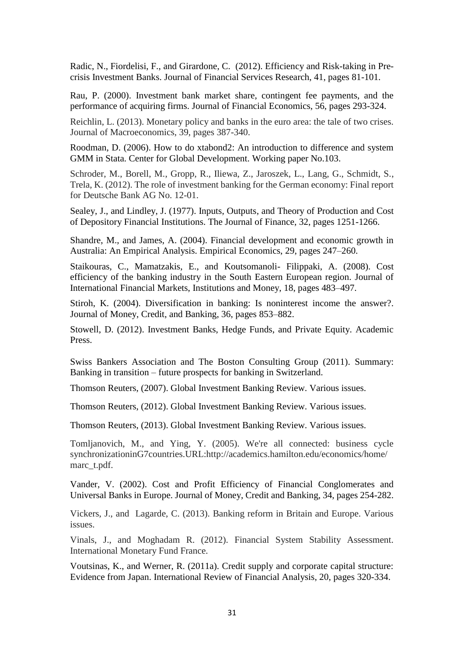Radic, N., Fiordelisi, F., and Girardone, C. (2012). Efficiency and Risk-taking in Precrisis Investment Banks. Journal of Financial Services Research, 41, pages 81-101.

Rau, P. (2000). Investment bank market share, contingent fee payments, and the performance of acquiring firms. Journal of Financial Economics, 56, pages 293-324.

Reichlin, L. (2013). Monetary policy and banks in the euro area: the tale of two crises. Journal of Macroeconomics, 39, pages 387-340.

Roodman, D. (2006). How to do xtabond2: An introduction to difference and system GMM in Stata. Center for Global Development. Working paper No.103.

Schroder, M., Borell, M., Gropp, R., Iliewa, Z., Jaroszek, L., Lang, G., Schmidt, S., Trela, K. (2012). The role of investment banking for the German economy: Final report for Deutsche Bank AG No. 12-01.

Sealey, J., and Lindley, J. (1977). Inputs, Outputs, and Theory of Production and Cost of Depository Financial Institutions. The Journal of Finance, 32, pages 1251-1266..

Shandre, M., and James, A. (2004). Financial development and economic growth in Australia: An Empirical Analysis. Empirical Economics, 29, pages 247–260.

Staikouras, C., Mamatzakis, E., and Koutsomanoli- Filippaki, A. (2008). Cost efficiency of the banking industry in the South Eastern European region. Journal of International Financial Markets, Institutions and Money, 18, pages 483–497.

Stiroh, K. (2004). Diversification in banking: Is noninterest income the answer?. Journal of Money, Credit, and Banking, 36, pages 853–882.

Stowell, D. (2012). Investment Banks, Hedge Funds, and Private Equity. Academic Press.

Swiss Bankers Association and The Boston Consulting Group (2011). Summary: Banking in transition – future prospects for banking in Switzerland.

Thomson Reuters, (2007). Global Investment Banking Review. Various issues.

Thomson Reuters, (2012). Global Investment Banking Review. Various issues.

Thomson Reuters, (2013). Global Investment Banking Review. Various issues.

Tomljanovich, M., and Ying, Y. (2005). We're all connected: business cycle synchronizationinG7countries.URL:http://academics.hamilton.edu/economics/home/ marc\_t.pdf.

Vander, V. (2002). Cost and Profit Efficiency of Financial Conglomerates and Universal Banks in Europe. Journal of Money, Credit and Banking, 34, pages 254-282.

Vickers, J., and Lagarde, C. (2013). Banking reform in Britain and Europe. Various issues.

Vinals, J., and Moghadam R. (2012). Financial System Stability Assessment. International Monetary Fund France.

Voutsinas, K., and Werner, R. (2011a). Credit supply and corporate capital structure: Evidence from Japan. International Review of Financial Analysis, 20, pages 320-334.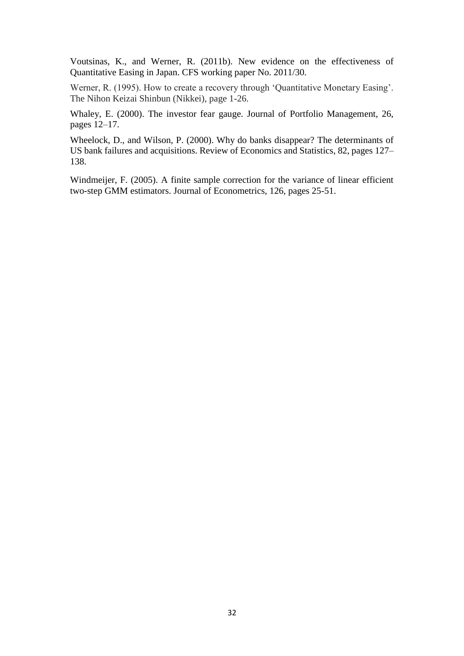Voutsinas, K., and Werner, R. (2011b). New evidence on the effectiveness of Quantitative Easing in Japan. CFS working paper No. 2011/30.

Werner, R. (1995). How to create a recovery through 'Quantitative Monetary Easing'. The Nihon Keizai Shinbun (Nikkei), page 1-26.

Whaley, E. (2000). The investor fear gauge. Journal of Portfolio Management, 26, pages 12–17.

Wheelock, D., and Wilson, P. (2000). Why do banks disappear? The determinants of US bank failures and acquisitions. Review of Economics and Statistics, 82, pages 127– 138.

Windmeijer, F. (2005). A finite sample correction for the variance of linear efficient two-step GMM estimators. Journal of Econometrics, 126, pages 25-51.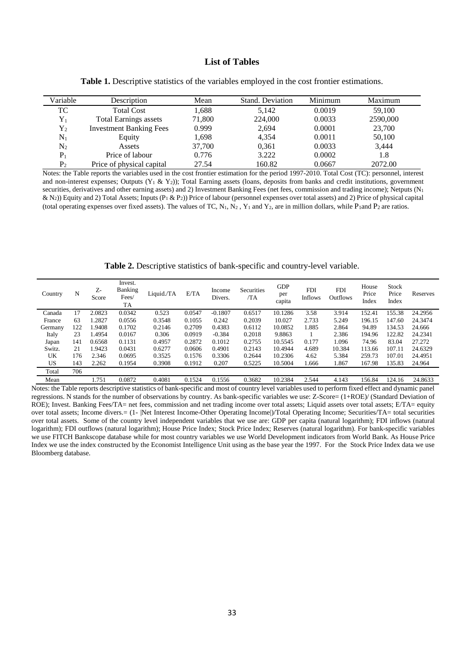### **List of Tables**

| Variable       | Description                    | Mean   | Stand. Deviation | Minimum | Maximum  |
|----------------|--------------------------------|--------|------------------|---------|----------|
| TC             | <b>Total Cost</b>              | 1,688  | 5,142            | 0.0019  | 59.100   |
| ${\rm Y}_1$    | <b>Total Earnings assets</b>   | 71,800 | 224,000          | 0.0033  | 2590,000 |
| ${\rm Y_2}$    | <b>Investment Banking Fees</b> | 0.999  | 2,694            | 0.0001  | 23,700   |
| $N_1$          | Equity                         | 1,698  | 4,354            | 0.0011  | 50,100   |
| $\mathrm{N}_2$ | Assets                         | 37,700 | 0.361            | 0.0033  | 3,444    |
| $P_1$          | Price of labour                | 0.776  | 3.222            | 0.0002  | 1.8      |
| P <sub>2</sub> | Price of physical capital      | 27.54  | 160.82           | 0.0667  | 2072.00  |

**Table 1.** Descriptive statistics of the variables employed in the cost frontier estimations.

Notes: the Table reports the variables used in the cost frontier estimation for the period 1997-2010. Total Cost (TC): personnel, interest and non-interest expenses; Outputs  $(Y_1 \& Y_2)$ ); Total Earning assets (loans, deposits from banks and credit institutions, government securities, derivatives and other earning assets) and 2) Investment Banking Fees (net fees, commission and trading income); Netputs (N<sub>1</sub>) & N<sub>2</sub>)) Equity and 2) Total Assets; Inputs (P<sub>1</sub> & P<sub>2</sub>)) Price of labour (personnel expenses over total assets) and 2) Price of physical capital (total operating expenses over fixed assets). The values of TC, N<sub>1</sub>, N<sub>2</sub>, Y<sub>1</sub> and Y<sub>2</sub>, are in million dollars, while P<sub>1</sub>and P<sub>2</sub> are ratios.

**Table 2.** Descriptive statistics of bank-specific and country-level variable.

| Country | N   | $Z_{\rm r}$<br>Score | Invest.<br>Banking<br>Fees/<br><b>TA</b> | Liquid./TA | E/TA   | Income<br>Divers. | Securities<br>/TA | <b>GDP</b><br>per<br>capita | <b>FDI</b><br>Inflows | <b>FDI</b><br>Outflows | House<br>Price<br>Index | <b>Stock</b><br>Price<br>Index | Reserves |
|---------|-----|----------------------|------------------------------------------|------------|--------|-------------------|-------------------|-----------------------------|-----------------------|------------------------|-------------------------|--------------------------------|----------|
| Canada  | 17  | 2.0823               | 0.0342                                   | 0.523      | 0.0547 | $-0.1807$         | 0.6517            | 10.1286                     | 3.58                  | 3.914                  | 152.41                  | 155.38                         | 24.2956  |
| France  | 63  | .2827                | 0.0556                                   | 0.3548     | 0.1055 | 0.242             | 0.2039            | 10.027                      | 2.733                 | 5.249                  | 196.15                  | 147.60                         | 24.3474  |
| Germany | 122 | 1.9408               | 0.1702                                   | 0.2146     | 0.2709 | 0.4383            | 0.6112            | 10.0852                     | 1.885                 | 2.864                  | 94.89                   | 134.53                         | 24.666   |
| Italy   | 23  | .4954                | 0.0167                                   | 0.306      | 0.0919 | $-0.384$          | 0.2018            | 9.8863                      |                       | 2.386                  | 194.96                  | 122.82                         | 24.2341  |
| Japan   | 141 | 0.6568               | 0.1131                                   | 0.4957     | 0.2872 | 0.1012            | 0.2755            | 10.5545                     | 0.177                 | 1.096                  | 74.96                   | 83.04                          | 27.272   |
| Switz.  | 21  | .9423                | 0.0431                                   | 0.6277     | 0.0606 | 0.4901            | 0.2143            | 10.4944                     | 4.689                 | 10.384                 | 113.66                  | 107.11                         | 24.6329  |
| UK      | 176 | 2.346                | 0.0695                                   | 0.3525     | 0.1576 | 0.3306            | 0.2644            | 10.2306                     | 4.62                  | 5.384                  | 259.73                  | 107.01                         | 24.4951  |
| US      | 143 | 2.262                | 0.1954                                   | 0.3908     | 0.1912 | 0.207             | 0.5225            | 10.5004                     | 1.666                 | 1.867                  | 167.98                  | 135.83                         | 24.964   |
| Total   | 706 |                      |                                          |            |        |                   |                   |                             |                       |                        |                         |                                |          |
| Mean    |     | 1.751                | 0.0872                                   | 0.4081     | 0.1524 | 0.1556            | 0.3682            | 10.2384                     | 2.544                 | 4.143                  | 156.84                  | 124.16                         | 24.8633  |

Notes: the Table reports descriptive statistics of bank-specific and most of country level variables used to perform fixed effect and dynamic panel regressions. N stands for the number of observations by country. As bank-specific variables we use: Z-Score= (1+ROE)/ (Standard Deviation of ROE); Invest. Banking Fees/TA= net fees, commission and net trading income over total assets; Liquid assets over total assets; E/TA= equity over total assets; Income divers.= (1- |Net Interest Income-Other Operating Income|)/Total Operating Income; Securities/TA= total securities over total assets. Some of the country level independent variables that we use are: GDP per capita (natural logarithm); FDI inflows (natural logarithm); FDI outflows (natural logarithm); House Price Index; Stock Price Index; Reserves (natural logarithm). For bank-specific variables we use FITCH Bankscope database while for most country variables we use World Development indicators from World Bank. As House Price Index we use the index constructed by the Economist Intelligence Unit using as the base year the 1997. For the Stock Price Index data we use Bloomberg database.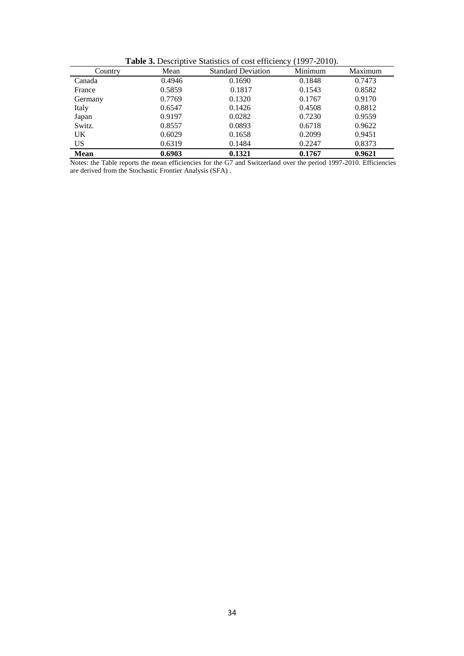|  |  | <b>Table 3.</b> Descriptive Statistics of cost efficiency (1997-2010). |
|--|--|------------------------------------------------------------------------|
|--|--|------------------------------------------------------------------------|

| Country     | Mean   | <b>Standard Deviation</b> | Minimum | Maximum |
|-------------|--------|---------------------------|---------|---------|
| Canada      | 0.4946 | 0.1690                    | 0.1848  | 0.7473  |
| France      | 0.5859 | 0.1817                    | 0.1543  | 0.8582  |
| Germany     | 0.7769 | 0.1320                    | 0.1767  | 0.9170  |
| Italy       | 0.6547 | 0.1426                    | 0.4508  | 0.8812  |
| Japan       | 0.9197 | 0.0282                    | 0.7230  | 0.9559  |
| Switz.      | 0.8557 | 0.0893                    | 0.6718  | 0.9622  |
| UK.         | 0.6029 | 0.1658                    | 0.2099  | 0.9451  |
| US          | 0.6319 | 0.1484                    | 0.2247  | 0.8373  |
| <b>Mean</b> | 0.6903 | 0.1321                    | 0.1767  | 0.9621  |

Notes: the Table reports the mean efficiencies for the G7 and Switzerland over the period 1997-2010. Efficiencies are derived from the Stochastic Frontier Analysis (SFA) .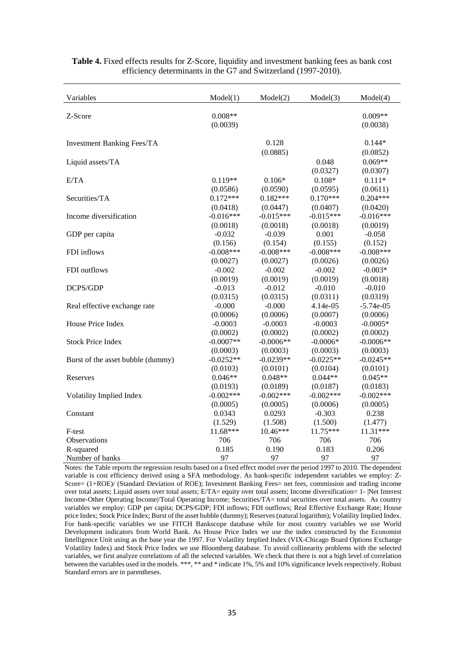| Variables                         | Model(1)    | Model(2)    | Model(3)     | Model(4)    |
|-----------------------------------|-------------|-------------|--------------|-------------|
|                                   |             |             |              |             |
| Z-Score                           | $0.008**$   |             |              | $0.009**$   |
|                                   | (0.0039)    |             |              | (0.0038)    |
| <b>Investment Banking Fees/TA</b> |             | 0.128       |              | $0.144*$    |
|                                   |             | (0.0885)    |              | (0.0852)    |
| Liquid assets/TA                  |             |             | 0.048        | $0.069**$   |
|                                   |             |             | (0.0327)     | (0.0307)    |
| E/TA                              | $0.119**$   | $0.106*$    | $0.108*$     | $0.111*$    |
|                                   | (0.0586)    | (0.0590)    | (0.0595)     | (0.0611)    |
| Securities/TA                     | $0.172***$  | $0.182***$  | $0.170***$   | $0.204***$  |
|                                   | (0.0418)    | (0.0447)    | (0.0407)     | (0.0420)    |
| Income diversification            | $-0.016***$ | $-0.015***$ | $-0.015***$  | $-0.016***$ |
|                                   | (0.0018)    | (0.0018)    | (0.0018)     | (0.0019)    |
| GDP per capita                    | $-0.032$    | $-0.039$    | 0.001        | $-0.058$    |
|                                   | (0.156)     | (0.154)     | (0.155)      | (0.152)     |
| FDI inflows                       | $-0.008***$ | $-0.008***$ | $-0.008$ *** | $-0.008***$ |
|                                   | (0.0027)    | (0.0027)    | (0.0026)     | (0.0026)    |
| FDI outflows                      | $-0.002$    | $-0.002$    | $-0.002$     | $-0.003*$   |
|                                   | (0.0019)    | (0.0019)    | (0.0019)     | (0.0018)    |
| DCPS/GDP                          | $-0.013$    | $-0.012$    | $-0.010$     | $-0.010$    |
|                                   | (0.0315)    | (0.0315)    | (0.0311)     | (0.0319)    |
| Real effective exchange rate      | $-0.000$    | $-0.000$    | 4.14e-05     | $-5.74e-05$ |
|                                   | (0.0006)    | (0.0006)    | (0.0007)     | (0.0006)    |
| House Price Index                 | $-0.0003$   | $-0.0003$   | $-0.0003$    | $-0.0005*$  |
|                                   | (0.0002)    | (0.0002)    | (0.0002)     | (0.0002)    |
| <b>Stock Price Index</b>          | $-0.0007**$ | $-0.0006**$ | $-0.0006*$   | $-0.0006**$ |
|                                   | (0.0003)    | (0.0003)    | (0.0003)     | (0.0003)    |
| Burst of the asset bubble (dummy) | $-0.0252**$ | $-0.0239**$ | $-0.0225**$  | $-0.0245**$ |
|                                   | (0.0103)    | (0.0101)    | (0.0104)     | (0.0101)    |
| Reserves                          | $0.046**$   | $0.048**$   | $0.044**$    | $0.045**$   |
|                                   | (0.0193)    | (0.0189)    | (0.0187)     | (0.0183)    |
| Volatility Implied Index          | $-0.002***$ | $-0.002***$ | $-0.002***$  | $-0.002***$ |
|                                   | (0.0005)    | (0.0005)    | (0.0006)     | (0.0005)    |
| Constant                          | 0.0343      | 0.0293      | $-0.303$     | 0.238       |
|                                   | (1.529)     | (1.508)     | (1.500)      | (1.477)     |
| F-test                            | 11.68***    | 10.46***    | 11.75***     | 11.31***    |
| Observations                      | 706         | 706         | 706          | 706         |
| R-squared                         | 0.185       | 0.190       | 0.183        | 0.206       |
| Number of banks                   | 97          | 97          | 97           | 97          |

**Table 4.** Fixed effects results for Z-Score, liquidity and investment banking fees as bank cost efficiency determinants in the G7 and Switzerland (1997-2010).

Notes: the Table reports the regression results based on a fixed effect model over the period 1997 to 2010. The dependent variable is cost efficiency derived using a SFA methodology. As bank-specific independent variables we employ: Z-Score= (1+ROE)/ (Standard Deviation of ROE); Investment Banking Fees= net fees, commission and trading income over total assets; Liquid assets over total assets; E/TA= equity over total assets; Income diversification= 1- |Net Interest Income-Other Operating Income|/Total Operating Income; Securities/TA= total securities over total assets. As country variables we employ: GDP per capita; DCPS/GDP; FDI inflows; FDI outflows; Real Effective Exchange Rate; House price Index; Stock Price Index; Burst of the asset bubble (dummy); Reserves(natural logarithm); Volatility Implied Index. For bank-specific variables we use FITCH Bankscope database while for most country variables we use World Development indicators from World Bank. As House Price Index we use the index constructed by the Economist Intelligence Unit using as the base year the 1997. For Volatility Implied Index (VIX-Chicago Board Options Exchange Volatility Index) and Stock Price Index we use Bloomberg database. To avoid collinearity problems with the selected variables, we first analyze correlations of all the selected variables. We check that there is not a high level of correlation between the variables used in the models. \*\*\*, \*\* and \* indicate 1%, 5% and 10% significance levels respectively. Robust Standard errors are in parentheses.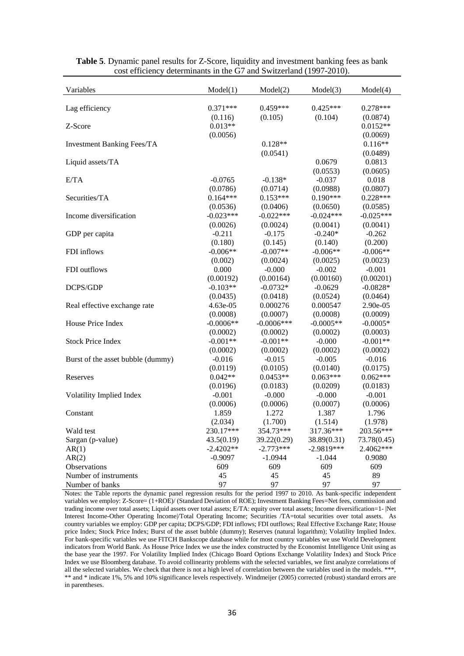| Variables                         | Model(1)    | Model(2)      | Model(3)     | Model(4)    |
|-----------------------------------|-------------|---------------|--------------|-------------|
|                                   |             |               |              |             |
| Lag efficiency                    | $0.371***$  | $0.459***$    | $0.425***$   | $0.278***$  |
|                                   | (0.116)     | (0.105)       | (0.104)      | (0.0874)    |
| Z-Score                           | $0.013**$   |               |              | $0.0152**$  |
|                                   | (0.0056)    |               |              | (0.0069)    |
| <b>Investment Banking Fees/TA</b> |             | $0.128**$     |              | $0.116**$   |
|                                   |             | (0.0541)      |              | (0.0489)    |
| Liquid assets/TA                  |             |               | 0.0679       | 0.0813      |
|                                   |             |               | (0.0553)     | (0.0605)    |
| E/TA                              | $-0.0765$   | $-0.138*$     | $-0.037$     | 0.018       |
|                                   | (0.0786)    | (0.0714)      | (0.0988)     | (0.0807)    |
| Securities/TA                     | $0.164***$  | $0.153***$    | $0.190***$   | $0.228***$  |
|                                   | (0.0536)    | (0.0406)      | (0.0650)     | (0.0585)    |
| Income diversification            | $-0.023***$ | $-0.022***$   | $-0.024***$  | $-0.025***$ |
|                                   | (0.0026)    | (0.0024)      | (0.0041)     | (0.0041)    |
| GDP per capita                    | $-0.211$    | $-0.175$      | $-0.240*$    | $-0.262$    |
|                                   | (0.180)     | (0.145)       | (0.140)      | (0.200)     |
| FDI inflows                       | $-0.006**$  | $-0.007**$    | $-0.006**$   | $-0.006**$  |
|                                   | (0.002)     | (0.0024)      | (0.0025)     | (0.0023)    |
| FDI outflows                      | 0.000       | $-0.000$      | $-0.002$     | $-0.001$    |
|                                   | (0.00192)   | (0.00164)     | (0.00160)    | (0.00201)   |
| DCPS/GDP                          | $-0.103**$  | $-0.0732*$    | $-0.0629$    | $-0.0828*$  |
|                                   | (0.0435)    | (0.0418)      | (0.0524)     | (0.0464)    |
| Real effective exchange rate      | 4.63e-05    | 0.000276      | 0.000547     | 2.90e-05    |
|                                   | (0.0008)    | (0.0007)      | (0.0008)     | (0.0009)    |
| House Price Index                 | $-0.0006**$ | $-0.0006$ *** | $-0.0005**$  | $-0.0005*$  |
|                                   | (0.0002)    | (0.0002)      | (0.0002)     | (0.0003)    |
| <b>Stock Price Index</b>          | $-0.001**$  | $-0.001**$    | $-0.000$     | $-0.001**$  |
|                                   | (0.0002)    | (0.0002)      | (0.0002)     | (0.0002)    |
| Burst of the asset bubble (dummy) | $-0.016$    | $-0.015$      | $-0.005$     | $-0.016$    |
|                                   | (0.0119)    | (0.0105)      | (0.0140)     | (0.0175)    |
| Reserves                          | $0.042**$   | $0.0453**$    | $0.063***$   | $0.062***$  |
|                                   | (0.0196)    | (0.0183)      | (0.0209)     | (0.0183)    |
| Volatility Implied Index          | $-0.001$    | $-0.000$      | $-0.000$     | $-0.001$    |
|                                   | (0.0006)    | (0.0006)      | (0.0007)     | (0.0006)    |
| Constant                          | 1.859       | 1.272         | 1.387        | 1.796       |
|                                   | (2.034)     | (1.700)       | (1.514)      | (1.978)     |
| Wald test                         | 230.17***   | 354.73***     | 317.36***    | 203.56***   |
| Sargan (p-value)                  | 43.5(0.19)  | 39.22(0.29)   | 38.89(0.31)  | 73.78(0.45) |
| AR(1)                             | $-2.4202**$ | $-2.773***$   | $-2.9819***$ | 2.4062***   |
| AR(2)                             | $-0.9097$   | $-1.0944$     | $-1.044$     | 0.9080      |
| Observations                      | 609         | 609           | 609          | 609         |
| Number of instruments             | 45          | 45            | 45           | 89          |
| Number of banks                   | 97          | 97            | 97           | 97          |

**Table 5**. Dynamic panel results for Z-Score, liquidity and investment banking fees as bank cost efficiency determinants in the G7 and Switzerland (1997-2010).

Notes: the Table reports the dynamic panel regression results for the period 1997 to 2010. As bank-specific independent variables we employ: Z-Score= (1+ROE)/ (Standard Deviation of ROE); Investment Banking Fees=Net fees, commission and trading income over total assets; Liquid assets over total assets; E/TA: equity over total assets; Income diversification=1- |Net Interest Income-Other Operating Income|/Total Operating Income; Securities /TA=total securities over total assets. As country variables we employ: GDP per capita; DCPS/GDP; FDI inflows; FDI outflows; Real Effective Exchange Rate; House price Index; Stock Price Index; Burst of the asset bubble (dummy); Reserves (natural logarithm); Volatility Implied Index. For bank-specific variables we use FITCH Bankscope database while for most country variables we use World Development indicators from World Bank. As House Price Index we use the index constructed by the Economist Intelligence Unit using as the base year the 1997. For Volatility Implied Index (Chicago Board Options Exchange Volatility Index) and Stock Price Index we use Bloomberg database. To avoid collinearity problems with the selected variables, we first analyze correlations of all the selected variables. We check that there is not a high level of correlation between the variables used in the models. \*\*\*, \*\* and \* indicate 1%, 5% and 10% significance levels respectively. Windmeijer (2005) corrected (robust) standard errors are in parentheses.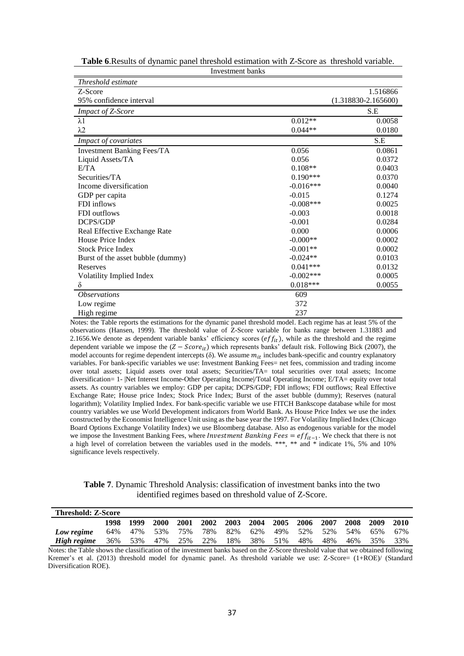| Threshold estimate                |              |                         |
|-----------------------------------|--------------|-------------------------|
| Z-Score                           |              | 1.516866                |
| 95% confidence interval           |              | $(1.318830 - 2.165600)$ |
| Impact of Z-Score                 |              | S.E                     |
| $\lambda$ 1                       | $0.012**$    | 0.0058                  |
| $\lambda$ 2                       | $0.044**$    | 0.0180                  |
| Impact of covariates              |              | S.E                     |
| <b>Investment Banking Fees/TA</b> | 0.056        | 0.0861                  |
| Liquid Assets/TA                  | 0.056        | 0.0372                  |
| E/TA                              | $0.108**$    | 0.0403                  |
| Securities/TA                     | $0.190***$   | 0.0370                  |
| Income diversification            | $-0.016***$  | 0.0040                  |
| GDP per capita                    | $-0.015$     | 0.1274                  |
| FDI inflows                       | $-0.008$ *** | 0.0025                  |
| FDI outflows                      | $-0.003$     | 0.0018                  |
| DCPS/GDP                          | $-0.001$     | 0.0284                  |
| Real Effective Exchange Rate      | 0.000        | 0.0006                  |
| House Price Index                 | $-0.000**$   | 0.0002                  |
| <b>Stock Price Index</b>          | $-0.001**$   | 0.0002                  |
| Burst of the asset bubble (dummy) | $-0.024**$   | 0.0103                  |
| Reserves                          | $0.041***$   | 0.0132                  |
| Volatility Implied Index          | $-0.002***$  | 0.0005                  |
| δ                                 | $0.018***$   | 0.0055                  |
| <i><b>Observations</b></i>        | 609          |                         |
| Low regime                        | 372          |                         |
| High regime                       | 237          |                         |

**Table 6**.Results of dynamic panel threshold estimation with Z-Score as threshold variable. Investment banks

Notes: the Table reports the estimations for the dynamic panel threshold model. Each regime has at least 5% of the observations (Hansen, 1999). The threshold value of Z-Score variable for banks range between 1.31883 and 2.1656.We denote as dependent variable banks' efficiency scores ( $eff_{it}$ ), while as the threshold and the regime dependent variable we impose the  $(Z - Score_{it})$  which represents banks' default risk. Following Bick (2007), the model accounts for regime dependent intercepts ( $\delta$ ). We assume  $m_{it}$  includes bank-specific and country explanatory variables. For bank-specific variables we use: Investment Banking Fees= net fees, commission and trading income over total assets; Liquid assets over total assets; Securities/TA= total securities over total assets; Income diversification= 1- |Net Interest Income-Other Operating Income|/Total Operating Income; E/TA= equity over total assets. As country variables we employ: GDP per capita; DCPS/GDP; FDI inflows; FDI outflows; Real Effective Exchange Rate; House price Index; Stock Price Index; Burst of the asset bubble (dummy); Reserves (natural logarithm); Volatility Implied Index. For bank-specific variable we use FITCH Bankscope database while for most country variables we use World Development indicators from World Bank. As House Price Index we use the index constructed by the Economist Intelligence Unit using as the base year the 1997. For Volatility Implied Index (Chicago Board Options Exchange Volatility Index) we use Bloomberg database. Also as endogenous variable for the model we impose the Investment Banking Fees, where *Investment Banking Fees* =  $eff_{it-1}$ . We check that there is not a high level of correlation between the variables used in the models. \*\*\*, \*\* and \* indicate 1%, 5% and 10% significance levels respectively.

**Table 7**. Dynamic Threshold Analysis: classification of investment banks into the two identified regimes based on threshold value of Z-Score.

| <b>Threshold: Z-Score</b> |      |      |         |         |           |     |                          |     |     |     |                     |     |      |
|---------------------------|------|------|---------|---------|-----------|-----|--------------------------|-----|-----|-----|---------------------|-----|------|
|                           | 1998 | 1999 | 2000    |         | 2001 2002 |     | 2003 2004 2005 2006 2007 |     |     |     | $-2008$ 2009        |     | 2010 |
| Low regime                | 64%  | 47%  | 53%     | 75%     | 78%       |     | 82% 62%                  |     |     |     | 49% 52% 52% 54% 65% |     | 67%  |
| High regime               | 36%  |      | 53% 47% | 25% 22% |           | 18% | 38%                      | 51% | 48% | 48% | 46%                 | 35% | 33%  |

Notes: the Table shows the classification of the investment banks based on the Z-Score threshold value that we obtained following Kremer's et al. (2013) threshold model for dynamic panel. As threshold variable we use: Z-Score= (1+ROE)/ (Standard Diversification ROE).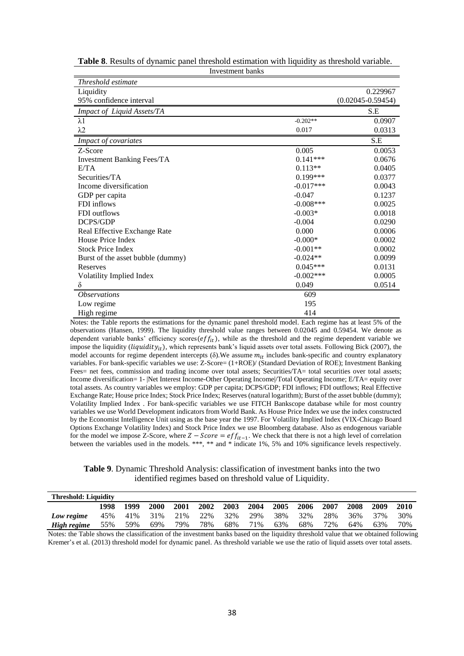| Investment banks                  |              |                       |
|-----------------------------------|--------------|-----------------------|
| Threshold estimate                |              |                       |
| Liquidity                         |              | 0.229967              |
| 95% confidence interval           |              | $(0.02045 - 0.59454)$ |
| Impact of Liquid Assets/TA        |              | S.E                   |
| $\lambda$ 1                       | $-0.202**$   | 0.0907                |
| $\lambda$ 2                       | 0.017        | 0.0313                |
| Impact of covariates              |              | S.E                   |
| Z-Score                           | 0.005        | 0.0053                |
| <b>Investment Banking Fees/TA</b> | $0.141***$   | 0.0676                |
| E/TA                              | $0.113**$    | 0.0405                |
| Securities/TA                     | $0.199***$   | 0.0377                |
| Income diversification            | $-0.017***$  | 0.0043                |
| GDP per capita                    | $-0.047$     | 0.1237                |
| FDI inflows                       | $-0.008$ *** | 0.0025                |
| FDI outflows                      | $-0.003*$    | 0.0018                |
| DCPS/GDP                          | $-0.004$     | 0.0290                |
| Real Effective Exchange Rate      | 0.000        | 0.0006                |
| House Price Index                 | $-0.000*$    | 0.0002                |
| <b>Stock Price Index</b>          | $-0.001**$   | 0.0002                |
| Burst of the asset bubble (dummy) | $-0.024**$   | 0.0099                |
| Reserves                          | $0.045***$   | 0.0131                |
| Volatility Implied Index          | $-0.002$ *** | 0.0005                |
| $\delta$                          | 0.049        | 0.0514                |
| <i><b>Observations</b></i>        | 609          |                       |
| Low regime                        | 195          |                       |
| High regime                       | 414          |                       |

**Table 8**. Results of dynamic panel threshold estimation with liquidity as threshold variable.

Notes: the Table reports the estimations for the dynamic panel threshold model. Each regime has at least 5% of the observations (Hansen, 1999). The liquidity threshold value ranges between 0.02045 and 0.59454. We denote as dependent variable banks' efficiency scores( $eff_{it}$ ), while as the threshold and the regime dependent variable we impose the liquidity (*liquidity<sub>it</sub>*), which represents bank's liquid assets over total assets. Following Bick (2007), the model accounts for regime dependent intercepts ( $\delta$ ). We assume  $m_{it}$  includes bank-specific and country explanatory variables. For bank-specific variables we use: Z-Score= (1+ROE)/ (Standard Deviation of ROE); Investment Banking Fees= net fees, commission and trading income over total assets; Securities/TA= total securities over total assets; Income diversification= 1- |Net Interest Income-Other Operating Income|/Total Operating Income; E/TA= equity over total assets. As country variables we employ: GDP per capita; DCPS/GDP; FDI inflows; FDI outflows; Real Effective Exchange Rate; House price Index; Stock Price Index; Reserves (natural logarithm); Burst of the asset bubble (dummy); Volatility Implied Index . For bank-specific variables we use FITCH Bankscope database while for most country variables we use World Development indicators from World Bank. As House Price Index we use the index constructed by the Economist Intelligence Unit using as the base year the 1997. For Volatility Implied Index (VIX-Chicago Board Options Exchange Volatility Index) and Stock Price Index we use Bloomberg database. Also as endogenous variable for the model we impose Z-Score, where  $Z - Score = eff_{it-1}$ . We check that there is not a high level of correlation between the variables used in the models. \*\*\*, \*\* and \* indicate 1%, 5% and 10% significance levels respectively.

**Table 9**. Dynamic Threshold Analysis: classification of investment banks into the two identified regimes based on threshold value of Liquidity.

| <b>Threshold: Liquidity</b> |      |      |      |      |                                         |           |         |      |      |      |         |      |      |
|-----------------------------|------|------|------|------|-----------------------------------------|-----------|---------|------|------|------|---------|------|------|
|                             | 1998 | 1999 | 2000 | 2001 |                                         | 2002 2003 | 2004    | 2005 | 2006 | 2007 | 2008    | 2009 | 2010 |
| Low regime                  |      |      |      |      | 45% 41% 31% 21% 22% 32% 29% 38% 32% 28% |           |         |      |      |      | 36% 37% |      | 30%  |
| High regime                 | 55%  | 59%  | 69%  | 79%  | 78%                                     | 68%       | 71% 63% |      | 68%  | 72%  | 64%     | 63%  | 70%  |

Notes: the Table shows the classification of the investment banks based on the liquidity threshold value that we obtained following Kremer's et al. (2013) threshold model for dynamic panel. As threshold variable we use the ratio of liquid assets over total assets.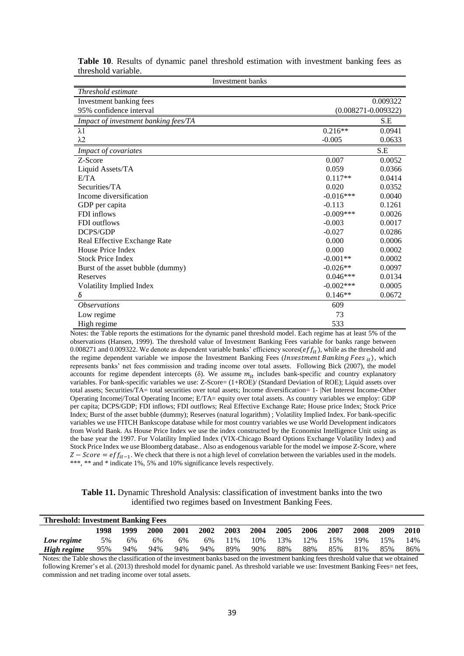| Investment banks                     |             |                         |
|--------------------------------------|-------------|-------------------------|
| Threshold estimate                   |             |                         |
| Investment banking fees              |             | 0.009322                |
| 95% confidence interval              |             | $(0.008271 - 0.009322)$ |
| Impact of investment banking fees/TA |             | S.E                     |
| $\lambda$ 1                          | $0.216**$   | 0.0941                  |
| $\lambda$ 2                          | $-0.005$    | 0.0633                  |
| Impact of covariates                 |             | S.E                     |
| Z-Score                              | 0.007       | 0.0052                  |
| Liquid Assets/TA                     | 0.059       | 0.0366                  |
| E/TA                                 | $0.117**$   | 0.0414                  |
| Securities/TA                        | 0.020       | 0.0352                  |
| Income diversification               | $-0.016***$ | 0.0040                  |
| GDP per capita                       | $-0.113$    | 0.1261                  |
| FDI inflows                          | $-0.009***$ | 0.0026                  |
| FDI outflows                         | $-0.003$    | 0.0017                  |
| <b>DCPS/GDP</b>                      | $-0.027$    | 0.0286                  |
| Real Effective Exchange Rate         | 0.000       | 0.0006                  |
| House Price Index                    | 0.000       | 0.0002                  |
| <b>Stock Price Index</b>             | $-0.001**$  | 0.0002                  |
| Burst of the asset bubble (dummy)    | $-0.026**$  | 0.0097                  |
| Reserves                             | $0.046***$  | 0.0134                  |
| Volatility Implied Index             | $-0.002***$ | 0.0005                  |
| δ                                    | $0.146**$   | 0.0672                  |
| <i><b>Observations</b></i>           | 609         |                         |
| Low regime                           | 73          |                         |
| High regime                          | 533         |                         |

**Table 10**. Results of dynamic panel threshold estimation with investment banking fees as threshold variable.

Notes: the Table reports the estimations for the dynamic panel threshold model. Each regime has at least 5% of the observations (Hansen, 1999). The threshold value of Investment Banking Fees variable for banks range between 0.008271 and 0.009322. We denote as dependent variable banks' efficiency scores( $eff_{it}$ ), while as the threshold and the regime dependent variable we impose the Investment Banking Fees (*Investment Banking Fees*  $_{it}$ ), which represents banks' net fees commission and trading income over total assets. Following Bick (2007), the model accounts for regime dependent intercepts (δ). We assume  $m_{it}$  includes bank-specific and country explanatory variables. For bank-specific variables we use: Z-Score= (1+ROE)/ (Standard Deviation of ROE); Liquid assets over total assets; Securities/TA= total securities over total assets; Income diversification= 1- |Net Interest Income-Other Operating Income|/Total Operating Income; E/TA= equity over total assets. As country variables we employ: GDP per capita; DCPS/GDP; FDI inflows; FDI outflows; Real Effective Exchange Rate; House price Index; Stock Price Index; Burst of the asset bubble (dummy); Reserves (natural logarithm) ; Volatility Implied Index. For bank-specific variables we use FITCH Bankscope database while for most country variables we use World Development indicators from World Bank. As House Price Index we use the index constructed by the Economist Intelligence Unit using as the base year the 1997. For Volatility Implied Index (VIX-Chicago Board Options Exchange Volatility Index) and Stock Price Index we use Bloomberg database.. Also as endogenous variable for the model we impose Z-Score, where  $Z$  –  $Score = eff_{it-1}$ . We check that there is not a high level of correlation between the variables used in the models. \*\*\*, \*\* and \* indicate 1%, 5% and 10% significance levels respectively.

**Table 11.** Dynamic Threshold Analysis: classification of investment banks into the two identified two regimes based on Investment Banking Fees.

| <b>Threshold: Investment Banking Fees</b> |      |      |      |      |      |      |      |      |      |      |      |      |      |
|-------------------------------------------|------|------|------|------|------|------|------|------|------|------|------|------|------|
|                                           | 1998 | 1999 | 2000 | 2001 | 2002 | 2003 | 2004 | 2005 | 2006 | 2007 | 2008 | 2009 | 2010 |
| Low regime                                | 5%   | 6%   | 6%   | 6%   | 6%   | l 1% | 10%  | 13%  | 12%  | 15%  | 19%  | 15%  | 14%  |
| High regime                               | 95%  | 94%  | 94%  | 94%  | 94%  | 89%  | 90%  | 88%  | 88%  | 85%  | 81%  | 85%  | 86%  |

Notes: the Table shows the classification of the investment banks based on the investment banking fees threshold value that we obtained following Kremer's et al. (2013) threshold model for dynamic panel. As threshold variable we use: Investment Banking Fees= net fees, commission and net trading income over total assets.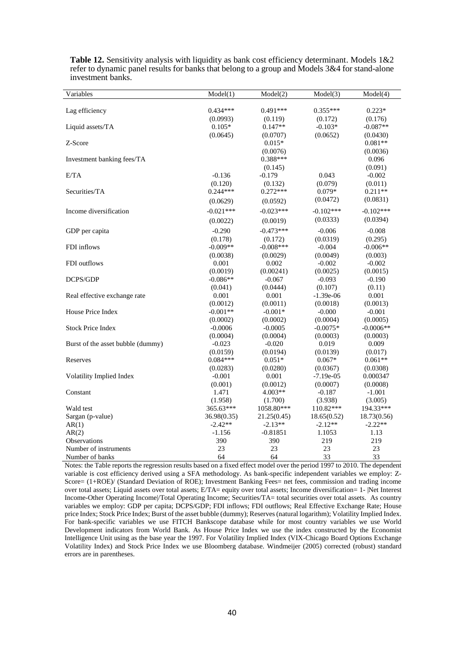| Variables                         | Model(1)    | Model(2)    | Model(3)    | Model(4)    |  |
|-----------------------------------|-------------|-------------|-------------|-------------|--|
|                                   |             |             |             |             |  |
| Lag efficiency                    | $0.434***$  | $0.491***$  | $0.355***$  | $0.223*$    |  |
|                                   | (0.0993)    | (0.119)     | (0.172)     | (0.176)     |  |
| Liquid assets/TA                  | $0.105*$    | $0.147**$   | $-0.103*$   | $-0.087**$  |  |
|                                   | (0.0645)    | (0.0707)    | (0.0652)    | (0.0430)    |  |
| Z-Score                           |             | $0.015*$    |             | $0.081**$   |  |
|                                   |             | (0.0076)    |             | (0.0036)    |  |
| Investment banking fees/TA        |             | $0.388***$  |             | 0.096       |  |
|                                   |             | (0.145)     |             | (0.091)     |  |
| E/TA                              | $-0.136$    | $-0.179$    | 0.043       | $-0.002$    |  |
|                                   | (0.120)     | (0.132)     | (0.079)     | (0.011)     |  |
| Securities/TA                     | $0.244***$  | $0.272***$  | $0.079*$    | $0.211**$   |  |
|                                   | (0.0629)    | (0.0592)    | (0.0472)    | (0.0831)    |  |
| Income diversification            | $-0.021***$ | $-0.023***$ | $-0.102***$ | $-0.102***$ |  |
|                                   | (0.0022)    | (0.0019)    | (0.0333)    | (0.0394)    |  |
| GDP per capita                    | $-0.290$    | $-0.473***$ | $-0.006$    | $-0.008$    |  |
|                                   | (0.178)     | (0.172)     | (0.0319)    | (0.295)     |  |
| FDI inflows                       | $-0.009**$  | $-0.008***$ | $-0.004$    | $-0.006**$  |  |
|                                   | (0.0038)    | (0.0029)    | (0.0049)    | (0.003)     |  |
| FDI outflows                      | 0.001       | 0.002       | $-0.002$    | $-0.002$    |  |
|                                   | (0.0019)    | (0.00241)   | (0.0025)    | (0.0015)    |  |
| DCPS/GDP                          | $-0.086**$  | $-0.067$    | $-0.093$    | $-0.190$    |  |
|                                   | (0.041)     | (0.0444)    | (0.107)     | (0.11)      |  |
| Real effective exchange rate      | 0.001       | 0.001       | $-1.39e-06$ | 0.001       |  |
|                                   | (0.0012)    | (0.0011)    | (0.0018)    | (0.0013)    |  |
| House Price Index                 | $-0.001**$  | $-0.001*$   | $-0.000$    | $-0.001$    |  |
|                                   | (0.0002)    | (0.0002)    | (0.0004)    | (0.0005)    |  |
| <b>Stock Price Index</b>          | $-0.0006$   | $-0.0005$   | $-0.0075*$  | $-0.0006**$ |  |
|                                   | (0.0004)    | (0.0004)    | (0.0003)    | (0.0003)    |  |
| Burst of the asset bubble (dummy) | $-0.023$    | $-0.020$    | 0.019       | 0.009       |  |
|                                   | (0.0159)    | (0.0194)    | (0.0139)    | (0.017)     |  |
| Reserves                          | $0.084***$  | $0.051*$    | $0.067*$    | $0.061**$   |  |
|                                   | (0.0283)    | (0.0280)    | (0.0367)    | (0.0308)    |  |
| Volatility Implied Index          | $-0.001$    | 0.001       | $-7.19e-05$ | 0.000347    |  |
|                                   | (0.001)     | (0.0012)    | (0.0007)    | (0.0008)    |  |
| Constant                          | 1.471       | 4.003**     | $-0.187$    | $-1.001$    |  |
|                                   | (1.958)     | (1.700)     | (3.938)     | (3.005)     |  |
| Wald test                         | 365.63***   | 1058.80***  | 110.82***   | 194.33***   |  |
| Sargan (p-value)                  | 36.98(0.35) | 21.25(0.45) | 18.65(0.52) | 18.73(0.56) |  |
| AR(1)                             | $-2.42**$   | $-2.13**$   | $-2.12**$   | $-2.22**$   |  |
| AR(2)                             | $-1.156$    | $-0.81851$  | 1.1053      | 1.13        |  |
| <b>Observations</b>               | 390         | 390         | 219         | 219         |  |
| Number of instruments             | 23          | 23          | 23          | 23          |  |
| Number of banks                   | 64          | 64          | 33          | 33          |  |

**Table 12.** Sensitivity analysis with liquidity as bank cost efficiency determinant. Models 1&2 refer to dynamic panel results for banks that belong to a group and Models 3&4 for stand-alone investment banks.

Notes: the Table reports the regression results based on a fixed effect model over the period 1997 to 2010. The dependent variable is cost efficiency derived using a SFA methodology. As bank-specific independent variables we employ: Z-Score= (1+ROE)/ (Standard Deviation of ROE); Investment Banking Fees= net fees, commission and trading income over total assets; Liquid assets over total assets; E/TA= equity over total assets; Income diversification= 1- |Net Interest Income-Other Operating Income|/Total Operating Income; Securities/TA= total securities over total assets. As country variables we employ: GDP per capita; DCPS/GDP; FDI inflows; FDI outflows; Real Effective Exchange Rate; House price Index; Stock Price Index; Burst of the asset bubble (dummy); Reserves(natural logarithm); Volatility Implied Index. For bank-specific variables we use FITCH Bankscope database while for most country variables we use World Development indicators from World Bank. As House Price Index we use the index constructed by the Economist Intelligence Unit using as the base year the 1997. For Volatility Implied Index (VIX-Chicago Board Options Exchange Volatility Index) and Stock Price Index we use Bloomberg database. Windmeijer (2005) corrected (robust) standard errors are in parentheses.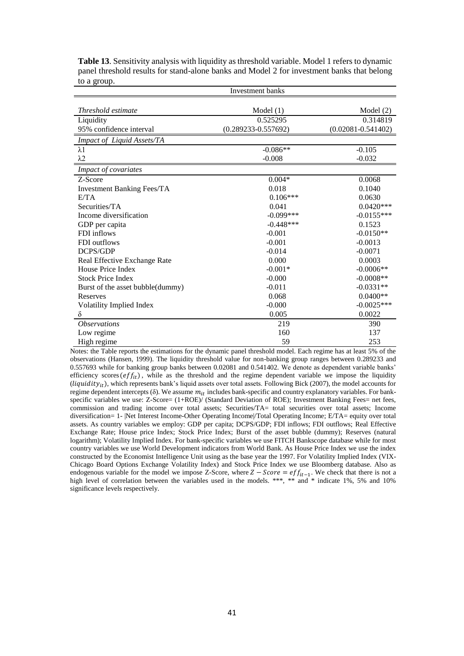|                                   | Investment banks        |                        |  |  |  |  |  |  |  |
|-----------------------------------|-------------------------|------------------------|--|--|--|--|--|--|--|
| Threshold estimate                | Model(1)                | Model $(2)$            |  |  |  |  |  |  |  |
| Liquidity                         | 0.525295                | 0.314819               |  |  |  |  |  |  |  |
| 95% confidence interval           | $(0.289233 - 0.557692)$ | $(0.02081 - 0.541402)$ |  |  |  |  |  |  |  |
| Impact of Liquid Assets/TA        |                         |                        |  |  |  |  |  |  |  |
| $\lambda$ 1                       | $-0.086**$              | $-0.105$               |  |  |  |  |  |  |  |
| $\lambda$ 2                       | $-0.008$                | $-0.032$               |  |  |  |  |  |  |  |
| Impact of covariates              |                         |                        |  |  |  |  |  |  |  |
| Z-Score                           | $0.004*$                | 0.0068                 |  |  |  |  |  |  |  |
| <b>Investment Banking Fees/TA</b> | 0.018                   | 0.1040                 |  |  |  |  |  |  |  |
| E/TA                              | $0.106***$              | 0.0630                 |  |  |  |  |  |  |  |
| Securities/TA                     | 0.041                   | $0.0420***$            |  |  |  |  |  |  |  |
| Income diversification            | $-0.099***$             | $-0.0155***$           |  |  |  |  |  |  |  |
| GDP per capita                    | $-0.448***$             | 0.1523                 |  |  |  |  |  |  |  |
| FDI inflows                       | $-0.001$                | $-0.0150**$            |  |  |  |  |  |  |  |
| FDI outflows                      | $-0.001$                | $-0.0013$              |  |  |  |  |  |  |  |
| DCPS/GDP                          | $-0.014$                | $-0.0071$              |  |  |  |  |  |  |  |
| Real Effective Exchange Rate      | 0.000                   | 0.0003                 |  |  |  |  |  |  |  |
| House Price Index                 | $-0.001*$               | $-0.0006**$            |  |  |  |  |  |  |  |
| <b>Stock Price Index</b>          | $-0.000$                | $-0.0008**$            |  |  |  |  |  |  |  |
| Burst of the asset bubble(dummy)  | $-0.011$                | $-0.0331**$            |  |  |  |  |  |  |  |
| Reserves                          | 0.068                   | $0.0400**$             |  |  |  |  |  |  |  |
| Volatility Implied Index          | $-0.000$                | $-0.0025***$           |  |  |  |  |  |  |  |
| δ                                 | 0.005                   | 0.0022                 |  |  |  |  |  |  |  |
| <i><b>Observations</b></i>        | 219                     | 390                    |  |  |  |  |  |  |  |
| Low regime                        | 160                     | 137                    |  |  |  |  |  |  |  |
| High regime                       | 59                      | 253                    |  |  |  |  |  |  |  |

**Table 13**. Sensitivity analysis with liquidity as threshold variable. Model 1 refers to dynamic panel threshold results for stand-alone banks and Model 2 for investment banks that belong to a group.

Notes: the Table reports the estimations for the dynamic panel threshold model. Each regime has at least 5% of the observations (Hansen, 1999). The liquidity threshold value for non-banking group ranges between 0.289233 and 0.557693 while for banking group banks between 0.02081 and 0.541402. We denote as dependent variable banks' efficiency scores  $\left($ ef $f_{it}$ ), while as the threshold and the regime dependent variable we impose the liquidity ( $liquidity_{it}$ ), which represents bank's liquid assets over total assets. Following Bick (2007), the model accounts for regime dependent intercepts (δ). We assume  $m_{it}$  includes bank-specific and country explanatory variables. For bankspecific variables we use: Z-Score= (1+ROE)/ (Standard Deviation of ROE); Investment Banking Fees= net fees, commission and trading income over total assets; Securities/TA= total securities over total assets; Income diversification= 1- |Net Interest Income-Other Operating Income|/Total Operating Income; E/TA= equity over total assets. As country variables we employ: GDP per capita; DCPS/GDP; FDI inflows; FDI outflows; Real Effective Exchange Rate; House price Index; Stock Price Index; Burst of the asset bubble (dummy); Reserves (natural logarithm); Volatility Implied Index. For bank-specific variables we use FITCH Bankscope database while for most country variables we use World Development indicators from World Bank. As House Price Index we use the index constructed by the Economist Intelligence Unit using as the base year the 1997. For Volatility Implied Index (VIX-Chicago Board Options Exchange Volatility Index) and Stock Price Index we use Bloomberg database. Also as endogenous variable for the model we impose Z-Score, where  $Z - Score = eff_{it-1}$ . We check that there is not a high level of correlation between the variables used in the models. \*\*\*, \*\* and \* indicate 1%, 5% and 10% significance levels respectively.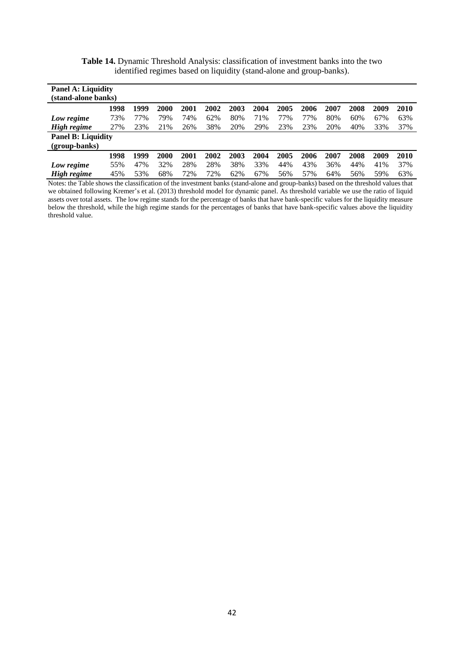| <b>Panel A: Liquidity</b><br>(stand-alone banks) |      |      |      |      |      |      |      |      |      |      |      |      |      |
|--------------------------------------------------|------|------|------|------|------|------|------|------|------|------|------|------|------|
|                                                  | 1998 | 1999 | 2000 | 2001 | 2002 | 2003 | 2004 | 2005 | 2006 | 2007 | 2008 | 2009 | 2010 |
| Low regime                                       | 73%  | 77%  | 79%  | 74%  | 62%  | 80%  | 71%  | 77%  | 77%  | 80%  | 60%  | 67%  | 63%  |
| High regime                                      | 27%  | 23%  | 21%  | 26%  | 38%  | 20%  | 29%  | 23%  | 23%  | 20%  | 40%  | 33%  | 37%  |
| <b>Panel B: Liquidity</b>                        |      |      |      |      |      |      |      |      |      |      |      |      |      |
| (group-banks)                                    | 1998 | 1999 | 2000 | 2001 | 2002 | 2003 | 2004 | 2005 | 2006 | 2007 | 2008 | 2009 | 2010 |
|                                                  | 55%  | 47%  | 32%  | 28%  | 28%  | 38%  | 33%  | 44%  | 43%  | 36%  | 44%  | 41%  | 37%  |
| Low regime<br>High regime                        | 45%  | 53%  | 68%  | 72%  | 72%  | 62%  | 67%  | 56%  | 57%  | 64%  | 56%  | 59%  | 63%  |

**Table 14.** Dynamic Threshold Analysis: classification of investment banks into the two identified regimes based on liquidity (stand-alone and group-banks).

Notes: the Table shows the classification of the investment banks (stand-alone and group-banks) based on the threshold values that we obtained following Kremer's et al. (2013) threshold model for dynamic panel. As threshold variable we use the ratio of liquid assets over total assets. The low regime stands for the percentage of banks that have bank-specific values for the liquidity measure below the threshold, while the high regime stands for the percentages of banks that have bank-specific values above the liquidity threshold value.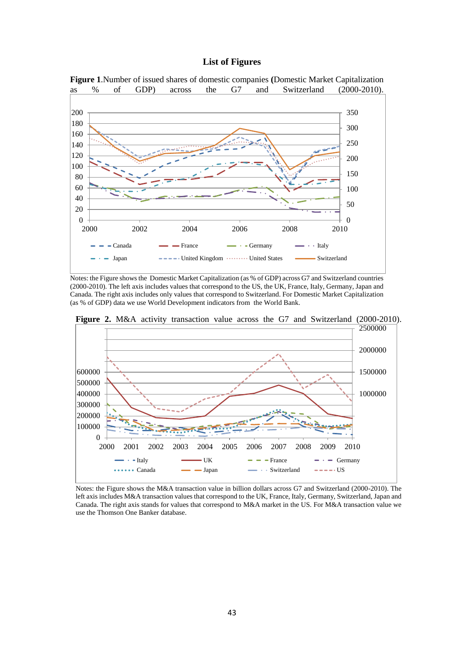### **List of Figures**



Notes: the Figure shows the Domestic Market Capitalization (as % of GDP) across G7 and Switzerland countries (2000-2010). The left axis includes values that correspond to the US, the UK, France, Italy, Germany, Japan and Canada. The right axis includes only values that correspond to Switzerland. For Domestic Market Capitalization (as % of GDP) data we use World Development indicators from the World Bank.



**Figure 2.** M&A activity transaction value across the G7 and Switzerland (2000-2010).

Notes: the Figure shows the M&A transaction value in billion dollars across G7 and Switzerland (2000-2010). The left axis includes M&A transaction values that correspond to the UK, France, Italy, Germany, Switzerland, Japan and Canada. The right axis stands for values that correspond to M&A market in the US. For M&A transaction value we use the Thomson One Banker database.